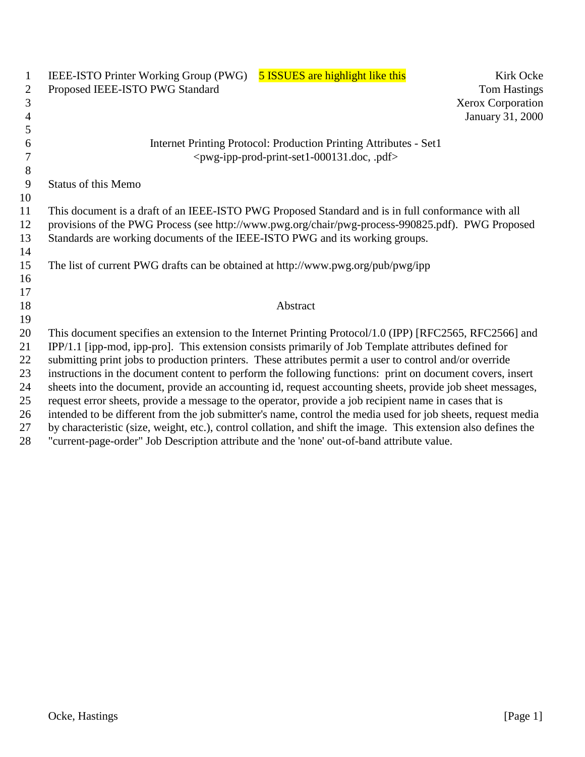| $\mathbf{1}$   | <b>5 ISSUES</b> are highlight like this<br>IEEE-ISTO Printer Working Group (PWG)<br>Kirk Ocke                   |
|----------------|-----------------------------------------------------------------------------------------------------------------|
| $\overline{2}$ | Proposed IEEE-ISTO PWG Standard<br><b>Tom Hastings</b>                                                          |
| $\overline{3}$ | <b>Xerox Corporation</b>                                                                                        |
| $\overline{4}$ | January 31, 2000                                                                                                |
| 5              |                                                                                                                 |
| 6              | Internet Printing Protocol: Production Printing Attributes - Set1                                               |
| $\tau$         | <pwg-ipp-prod-print-set1-000131.doc, .pdf=""></pwg-ipp-prod-print-set1-000131.doc,>                             |
| $8\,$          |                                                                                                                 |
| 9              | <b>Status of this Memo</b>                                                                                      |
| 10             |                                                                                                                 |
| 11             | This document is a draft of an IEEE-ISTO PWG Proposed Standard and is in full conformance with all              |
| 12             | provisions of the PWG Process (see http://www.pwg.org/chair/pwg-process-990825.pdf). PWG Proposed               |
| 13             | Standards are working documents of the IEEE-ISTO PWG and its working groups.                                    |
| 14             |                                                                                                                 |
| 15             | The list of current PWG drafts can be obtained at http://www.pwg.org/pub/pwg/ipp                                |
| 16             |                                                                                                                 |
| 17             |                                                                                                                 |
| 18             | Abstract                                                                                                        |
| 19             |                                                                                                                 |
| 20             | This document specifies an extension to the Internet Printing Protocol/1.0 (IPP) [RFC2565, RFC2566] and         |
| 21             | IPP/1.1 [ipp-mod, ipp-pro]. This extension consists primarily of Job Template attributes defined for            |
| 22             | submitting print jobs to production printers. These attributes permit a user to control and/or override         |
| 23             | instructions in the document content to perform the following functions: print on document covers, insert       |
| 24             | sheets into the document, provide an accounting id, request accounting sheets, provide job sheet messages,      |
| 25             | request error sheets, provide a message to the operator, provide a job recipient name in cases that is          |
| 26             | intended to be different from the job submitter's name, control the media used for job sheets, request media    |
| 27             | by characteristic (size, weight, etc.), control collation, and shift the image. This extension also defines the |
| 28             | "current-page-order" Job Description attribute and the 'none' out-of-band attribute value.                      |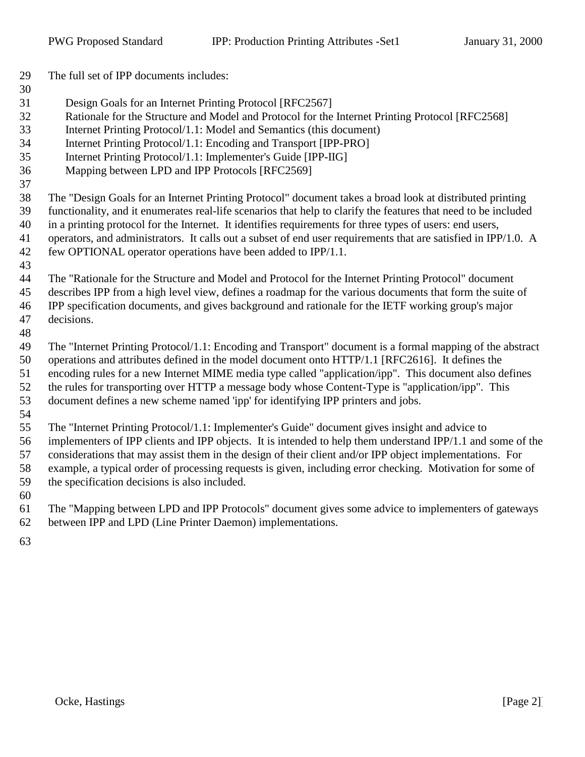The full set of IPP documents includes: Design Goals for an Internet Printing Protocol [RFC2567] Rationale for the Structure and Model and Protocol for the Internet Printing Protocol [RFC2568] Internet Printing Protocol/1.1: Model and Semantics (this document) Internet Printing Protocol/1.1: Encoding and Transport [IPP-PRO] Internet Printing Protocol/1.1: Implementer's Guide [IPP-IIG] Mapping between LPD and IPP Protocols [RFC2569] The "Design Goals for an Internet Printing Protocol" document takes a broad look at distributed printing functionality, and it enumerates real-life scenarios that help to clarify the features that need to be included in a printing protocol for the Internet. It identifies requirements for three types of users: end users, operators, and administrators. It calls out a subset of end user requirements that are satisfied in IPP/1.0. A few OPTIONAL operator operations have been added to IPP/1.1. The "Rationale for the Structure and Model and Protocol for the Internet Printing Protocol" document describes IPP from a high level view, defines a roadmap for the various documents that form the suite of IPP specification documents, and gives background and rationale for the IETF working group's major decisions. The "Internet Printing Protocol/1.1: Encoding and Transport" document is a formal mapping of the abstract operations and attributes defined in the model document onto HTTP/1.1 [RFC2616]. It defines the encoding rules for a new Internet MIME media type called "application/ipp". This document also defines the rules for transporting over HTTP a message body whose Content-Type is "application/ipp". This document defines a new scheme named 'ipp' for identifying IPP printers and jobs. The "Internet Printing Protocol/1.1: Implementer's Guide" document gives insight and advice to implementers of IPP clients and IPP objects. It is intended to help them understand IPP/1.1 and some of the considerations that may assist them in the design of their client and/or IPP object implementations. For

- the specification decisions is also included.
- The "Mapping between LPD and IPP Protocols" document gives some advice to implementers of gateways between IPP and LPD (Line Printer Daemon) implementations.

example, a typical order of processing requests is given, including error checking. Motivation for some of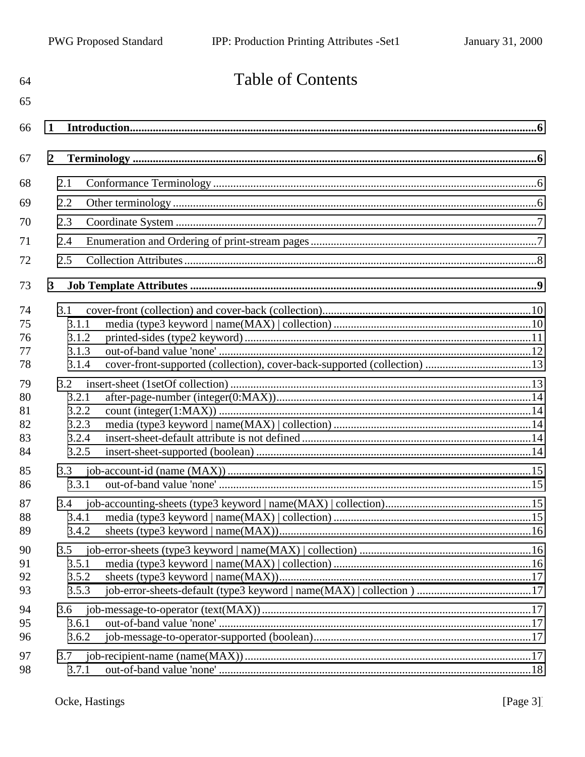| 64       | <b>Table of Contents</b>                                                          |  |
|----------|-----------------------------------------------------------------------------------|--|
| 65       |                                                                                   |  |
| 66       | 1                                                                                 |  |
| 67       | $\overline{2}$                                                                    |  |
| 68       | 2.1                                                                               |  |
| 69       | 2.2                                                                               |  |
| 70       | 2.3                                                                               |  |
| 71       | 2.4                                                                               |  |
| 72       | 2.5                                                                               |  |
| 73       | $\mathbf{3}$                                                                      |  |
| 74       | 3.1                                                                               |  |
| 75       | 3.1.1                                                                             |  |
| 76       | 3.1.2                                                                             |  |
| 77       | 3.1.3                                                                             |  |
| 78       | cover-front-supported (collection), cover-back-supported (collection) 13<br>3.1.4 |  |
| 79       | 3.2                                                                               |  |
| 80       | 3.2.1                                                                             |  |
| 81       | 3.2.2                                                                             |  |
| 82       | 3.2.3                                                                             |  |
| 83<br>84 | 3.2.4<br>3.2.5                                                                    |  |
|          |                                                                                   |  |
| 85<br>86 | 3.3<br>3.3.1                                                                      |  |
|          |                                                                                   |  |
| 87       | 3.4                                                                               |  |
| 88       | 3.4.1                                                                             |  |
| 89       | 3.4.2                                                                             |  |
| 90       | 3.5                                                                               |  |
| 91       | 3.5.1                                                                             |  |
| 92<br>93 | 3.5.2<br>3.5.3                                                                    |  |
|          |                                                                                   |  |
| 94       | 3.6<br>3.6.1                                                                      |  |
| 95<br>96 | 3.6.2                                                                             |  |
|          |                                                                                   |  |
| 97<br>98 | 3.7<br>3.7.1                                                                      |  |
|          |                                                                                   |  |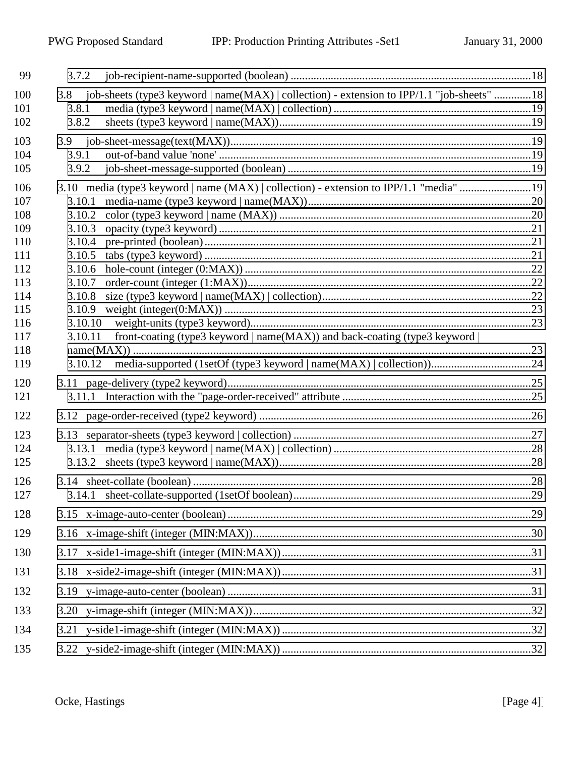| 99                              | 3.7.2                                                                                                                       |  |
|---------------------------------|-----------------------------------------------------------------------------------------------------------------------------|--|
| 100<br>101<br>102               | 3.8 job-sheets (type3 keyword   name(MAX)   collection) - extension to IPP/1.1 "job-sheets" 18<br>3.8.1<br>3.8.2            |  |
| 103<br>104<br>105               | 3.9.1<br>3.9.2                                                                                                              |  |
| 106<br>107<br>108<br>109        | 3.10 media (type3 keyword   name (MAX)   collection) - extension to IPP/1.1 "media" 19<br>3.10.1<br>3.10.2<br>3.10.3        |  |
| 110<br>111<br>112<br>113<br>114 | 3.10.4<br>3.10.5<br>3.10.6<br>3.10.7<br>3.10.8                                                                              |  |
| 115<br>116<br>117<br>118<br>119 | 3.10.9<br>3.10.10<br>front-coating (type3 keyword $ name(MAX) $ ) and back-coating (type3 keyword $ $<br>3.10.11<br>3.10.12 |  |
| 120<br>121                      |                                                                                                                             |  |
| 122<br>123<br>124<br>125        |                                                                                                                             |  |
| 126<br>127                      |                                                                                                                             |  |
| 128<br>129                      |                                                                                                                             |  |
| 130                             |                                                                                                                             |  |
| 131<br>132                      |                                                                                                                             |  |
| 133                             |                                                                                                                             |  |
| 134<br>135                      |                                                                                                                             |  |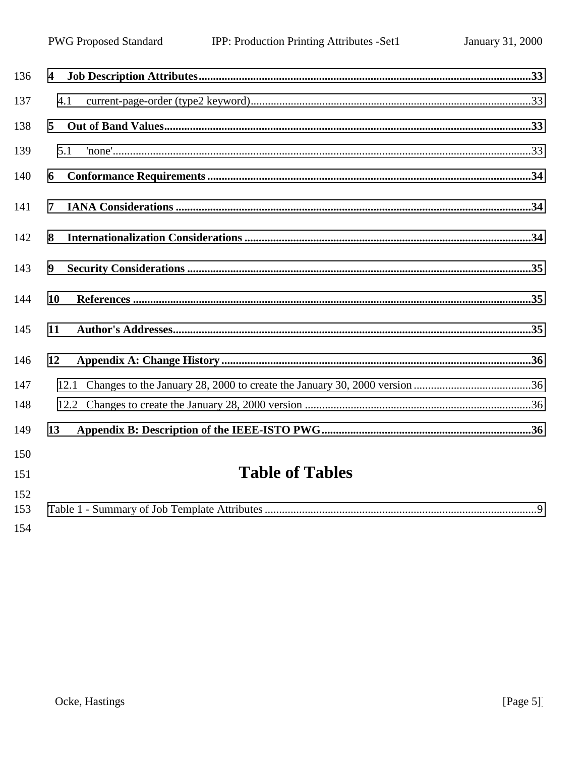| 136 | $\overline{\mathbf{4}}$ |  |
|-----|-------------------------|--|
| 137 | 4.1                     |  |
| 138 | $5^{\circ}$             |  |
| 139 | 5.1                     |  |
| 140 | 6                       |  |
| 141 | $\overline{7}$          |  |
| 142 | 8                       |  |
| 143 | 9                       |  |
| 144 | 10                      |  |
| 145 | 11                      |  |
| 146 | 12                      |  |
| 147 |                         |  |
| 148 |                         |  |
| 149 | 13                      |  |
| 150 |                         |  |
| 151 | <b>Table of Tables</b>  |  |
| 152 |                         |  |
| 153 |                         |  |
| 154 |                         |  |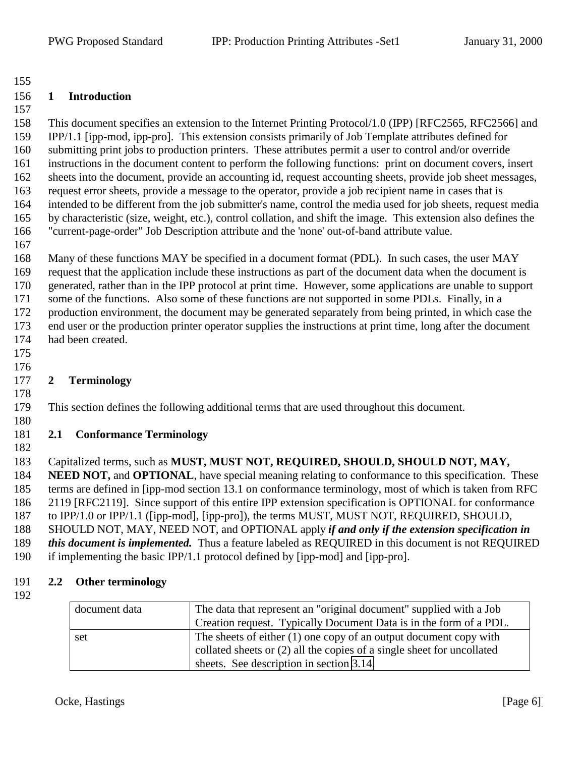#### <span id="page-5-0"></span>**1 Introduction**

 This document specifies an extension to the Internet Printing Protocol/1.0 (IPP) [RFC2565, RFC2566] and IPP/1.1 [ipp-mod, ipp-pro]. This extension consists primarily of Job Template attributes defined for submitting print jobs to production printers. These attributes permit a user to control and/or override instructions in the document content to perform the following functions: print on document covers, insert sheets into the document, provide an accounting id, request accounting sheets, provide job sheet messages, request error sheets, provide a message to the operator, provide a job recipient name in cases that is intended to be different from the job submitter's name, control the media used for job sheets, request media

- by characteristic (size, weight, etc.), control collation, and shift the image. This extension also defines the "current-page-order" Job Description attribute and the 'none' out-of-band attribute value.
	-

 Many of these functions MAY be specified in a document format (PDL). In such cases, the user MAY request that the application include these instructions as part of the document data when the document is generated, rather than in the IPP protocol at print time. However, some applications are unable to support some of the functions. Also some of these functions are not supported in some PDLs. Finally, in a production environment, the document may be generated separately from being printed, in which case the end user or the production printer operator supplies the instructions at print time, long after the document had been created.

 

# **2 Terminology**

# This section defines the following additional terms that are used throughout this document.

#### **2.1 Conformance Terminology**

Capitalized terms, such as **MUST, MUST NOT, REQUIRED, SHOULD, SHOULD NOT, MAY,**

 **NEED NOT,** and **OPTIONAL**, have special meaning relating to conformance to this specification. These terms are defined in [ipp-mod section 13.1 on conformance terminology, most of which is taken from RFC 2119 [RFC2119]. Since support of this entire IPP extension specification is OPTIONAL for conformance

to IPP/1.0 or IPP/1.1 ([ipp-mod], [ipp-pro]), the terms MUST, MUST NOT, REQUIRED, SHOULD,

SHOULD NOT, MAY, NEED NOT, and OPTIONAL apply *if and only if the extension specification in*

- *this document is implemented.* Thus a feature labeled as REQUIRED in this document is not REQUIRED
- if implementing the basic IPP/1.1 protocol defined by [ipp-mod] and [ipp-pro].

## **2.2 Other terminology**

| document data | The data that represent an "original document" supplied with a Job<br>Creation request. Typically Document Data is in the form of a PDL.      |
|---------------|-----------------------------------------------------------------------------------------------------------------------------------------------|
| set           | The sheets of either $(1)$ one copy of an output document copy with<br>collated sheets or (2) all the copies of a single sheet for uncollated |
|               | sheets. See description in section 3.14.                                                                                                      |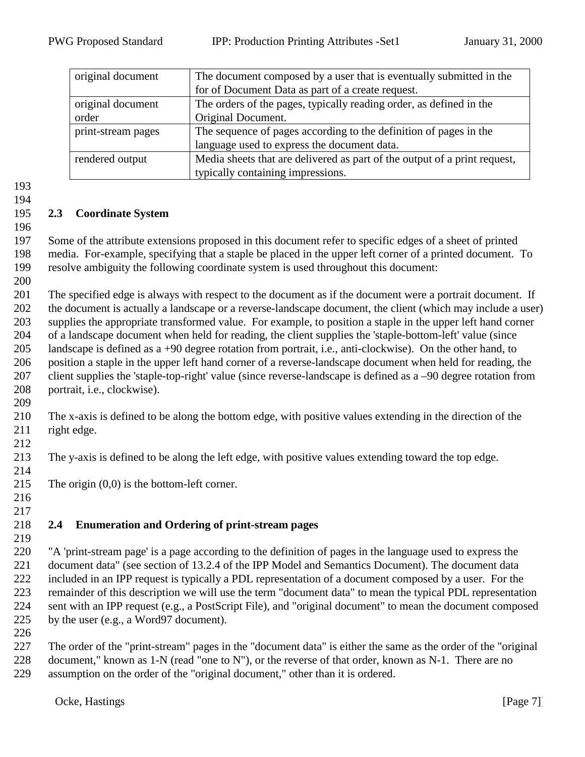<span id="page-6-0"></span>

| original document                                                                            | The document composed by a user that is eventually submitted in the |  |
|----------------------------------------------------------------------------------------------|---------------------------------------------------------------------|--|
|                                                                                              | for of Document Data as part of a create request.                   |  |
| original document                                                                            | The orders of the pages, typically reading order, as defined in the |  |
| order                                                                                        | Original Document.                                                  |  |
| print-stream pages                                                                           | The sequence of pages according to the definition of pages in the   |  |
|                                                                                              | language used to express the document data.                         |  |
| Media sheets that are delivered as part of the output of a print request,<br>rendered output |                                                                     |  |
|                                                                                              | typically containing impressions.                                   |  |

#### 

#### **2.3 Coordinate System**

 Some of the attribute extensions proposed in this document refer to specific edges of a sheet of printed media. For-example, specifying that a staple be placed in the upper left corner of a printed document. To resolve ambiguity the following coordinate system is used throughout this document: 

 The specified edge is always with respect to the document as if the document were a portrait document. If the document is actually a landscape or a reverse-landscape document, the client (which may include a user) supplies the appropriate transformed value. For example, to position a staple in the upper left hand corner of a landscape document when held for reading, the client supplies the 'staple-bottom-left' value (since landscape is defined as a +90 degree rotation from portrait, i.e., anti-clockwise). On the other hand, to position a staple in the upper left hand corner of a reverse-landscape document when held for reading, the client supplies the 'staple-top-right' value (since reverse-landscape is defined as a –90 degree rotation from portrait, i.e., clockwise).

 The x-axis is defined to be along the bottom edge, with positive values extending in the direction of the 211 right edge.

The y-axis is defined to be along the left edge, with positive values extending toward the top edge.

- 215 The origin  $(0,0)$  is the bottom-left corner.
- 

# **2.4 Enumeration and Ordering of print-stream pages**

 "A 'print-stream page' is a page according to the definition of pages in the language used to express the document data" (see section of 13.2.4 of the IPP Model and Semantics Document). The document data included in an IPP request is typically a PDL representation of a document composed by a user. For the remainder of this description we will use the term "document data" to mean the typical PDL representation sent with an IPP request (e.g., a PostScript File), and "original document" to mean the document composed by the user (e.g., a Word97 document).

 The order of the "print-stream" pages in the "document data" is either the same as the order of the "original 228 document," known as 1-N (read "one to N"), or the reverse of that order, known as N-1. There are no assumption on the order of the "original document," other than it is ordered.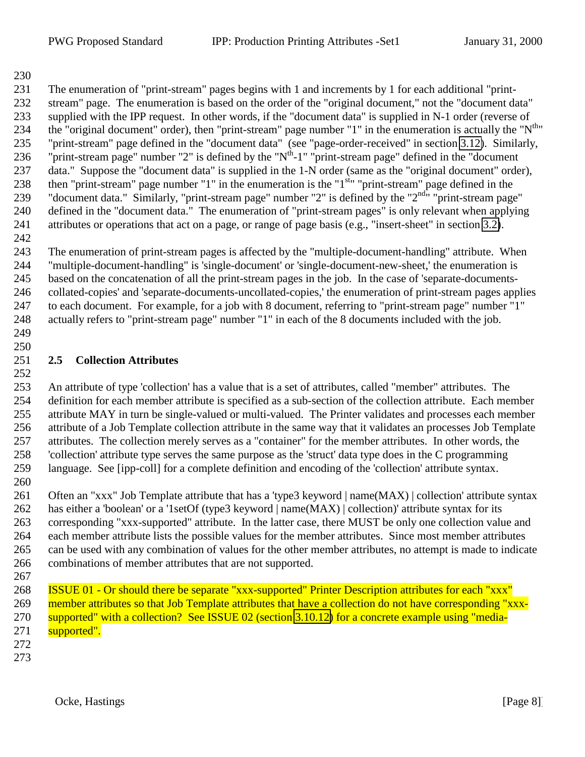<span id="page-7-0"></span> The enumeration of "print-stream" pages begins with 1 and increments by 1 for each additional "print- stream" page. The enumeration is based on the order of the "original document," not the "document data" supplied with the IPP request. In other words, if the "document data" is supplied in N-1 order (reverse of 234 the "original document" order), then "print-stream" page number "1" in the enumeration is actually the " $N<sup>th</sup>$ " "print-stream" page defined in the "document data" (see "page-order-received" in section [3.12\)](#page-25-0). Similarly, 236 "print-stream page" number "2" is defined by the " $N<sup>th</sup>$ -1" "print-stream page" defined in the "document" data." Suppose the "document data" is supplied in the 1-N order (same as the "original document" order), 238 then "print-stream" page number "1" in the enumeration is the " $1<sup>st</sup>$ " "print-stream" page defined in the 239 "document data." Similarly, "print-stream page" number "2" is defined by the " $2^{nd_{\text{tr}}}$ " print-stream page" defined in the "document data." The enumeration of "print-stream pages" is only relevant when applying attributes or operations that act on a page, or range of page basis (e.g., "insert-sheet" in section [3.2\)](#page-12-0).

 The enumeration of print-stream pages is affected by the "multiple-document-handling" attribute. When "multiple-document-handling" is 'single-document' or 'single-document-new-sheet,' the enumeration is based on the concatenation of all the print-stream pages in the job. In the case of 'separate-documents- collated-copies' and 'separate-documents-uncollated-copies,' the enumeration of print-stream pages applies to each document. For example, for a job with 8 document, referring to "print-stream page" number "1" actually refers to "print-stream page" number "1" in each of the 8 documents included with the job.

 

#### **2.5 Collection Attributes**

 An attribute of type 'collection' has a value that is a set of attributes, called "member" attributes. The definition for each member attribute is specified as a sub-section of the collection attribute. Each member attribute MAY in turn be single-valued or multi-valued. The Printer validates and processes each member attribute of a Job Template collection attribute in the same way that it validates an processes Job Template attributes. The collection merely serves as a "container" for the member attributes. In other words, the 'collection' attribute type serves the same purpose as the 'struct' data type does in the C programming language. See [ipp-coll] for a complete definition and encoding of the 'collection' attribute syntax. 

261 Often an "xxx" Job Template attribute that has a 'type3 keyword | name(MAX) | collection' attribute syntax has either a 'boolean' or a '1setOf (type3 keyword | name(MAX) | collection)' attribute syntax for its corresponding "xxx-supported" attribute. In the latter case, there MUST be only one collection value and each member attribute lists the possible values for the member attributes. Since most member attributes can be used with any combination of values for the other member attributes, no attempt is made to indicate combinations of member attributes that are not supported.

 ISSUE 01 - Or should there be separate "xxx-supported" Printer Description attributes for each "xxx" 269 member attributes so that Job Template attributes that have a collection do not have corresponding "xxx- supported" with a collection? See ISSUE 02 (section [3.10.12\)](#page-23-0) for a concrete example using "media-271 supported".

- 
-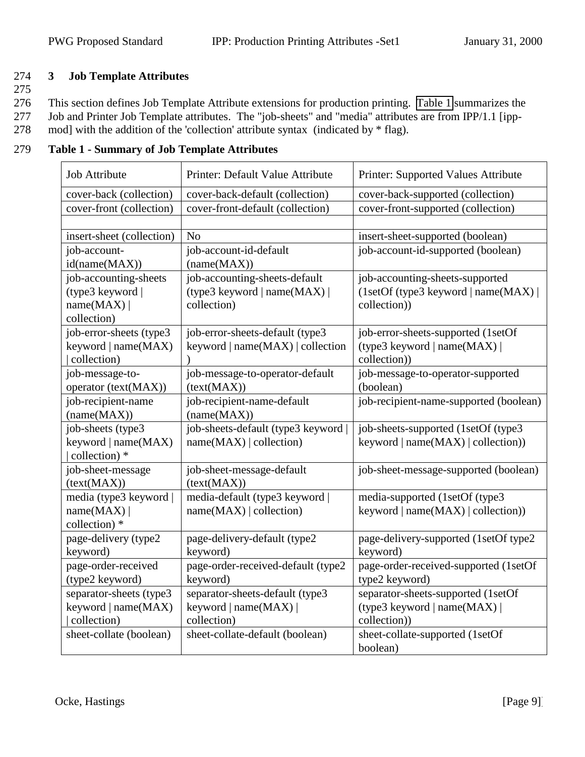# <span id="page-8-0"></span>274 **3 Job Template Attributes**

275

276 This section defines Job Template Attribute extensions for production printing. Table 1 summarizes the

- 277 Job and Printer Job Template attributes. The "job-sheets" and "media" attributes are from IPP/1.1 [ipp-
- 278 mod] with the addition of the 'collection' attribute syntax (indicated by \* flag).

| <b>Job Attribute</b>      | Printer: Default Value Attribute   | Printer: Supported Values Attribute    |
|---------------------------|------------------------------------|----------------------------------------|
| cover-back (collection)   | cover-back-default (collection)    | cover-back-supported (collection)      |
| cover-front (collection)  | cover-front-default (collection)   | cover-front-supported (collection)     |
|                           |                                    |                                        |
| insert-sheet (collection) | N <sub>o</sub>                     | insert-sheet-supported (boolean)       |
| job-account-              | job-account-id-default             | job-account-id-supported (boolean)     |
| id(name(MAX))             | (name(MAX))                        |                                        |
| job-accounting-sheets     | job-accounting-sheets-default      | job-accounting-sheets-supported        |
| (type3 keyword            | (type3 keyword   name(MAX)         | (1setOf(type3 keyword   name(MAX))     |
| name(MAX)                 | collection)                        | collection))                           |
| collection)               |                                    |                                        |
| job-error-sheets (type3   | job-error-sheets-default (type3    | job-error-sheets-supported (1setOf     |
| keyword   name(MAX)       | keyword $ name(MAX) $ collection   | (type3 keyword   name(MAX)             |
| collection)               |                                    | collection))                           |
| job-message-to-           | job-message-to-operator-default    | job-message-to-operator-supported      |
| operator (text(MAX))      | (text(MAX))                        | (boolean)                              |
| job-recipient-name        | job-recipient-name-default         | job-recipient-name-supported (boolean) |
| (name(MAX))               | (name(MAX))                        |                                        |
| job-sheets (type3         | job-sheets-default (type3 keyword) | job-sheets-supported (1setOf (type3)   |
| keyword   name(MAX)       | name(MAX)   collection)            | keyword $ name(MAX) $ collection))     |
| collection) *             |                                    |                                        |
| job-sheet-message         | job-sheet-message-default          | job-sheet-message-supported (boolean)  |
| (text(MAX))               | (text(MAX))                        |                                        |
| media (type3 keyword      | media-default (type3 keyword       | media-supported (1setOf (type3)        |
| name(MAX)                 | name(MAX)   collection)            | keyword $ name(MAX) $ collection))     |
| collection) *             |                                    |                                        |
| page-delivery (type2      | page-delivery-default (type2       | page-delivery-supported (1setOf type2  |
| keyword)                  | keyword)                           | keyword)                               |
| page-order-received       | page-order-received-default (type2 | page-order-received-supported (1setOf  |
| (type2 keyword)           | keyword)                           | type2 keyword)                         |
| separator-sheets (type3   | separator-sheets-default (type3    | separator-sheets-supported (1setOf     |
| keyword   name(MAX)       | keyword   name $(MAX)$             | (type3 keyword   name(MAX)             |
| collection)               | collection)                        | collection))                           |
| sheet-collate (boolean)   | sheet-collate-default (boolean)    | sheet-collate-supported (1setOf        |
|                           |                                    | boolean)                               |

279 **Table 1 - Summary of Job Template Attributes**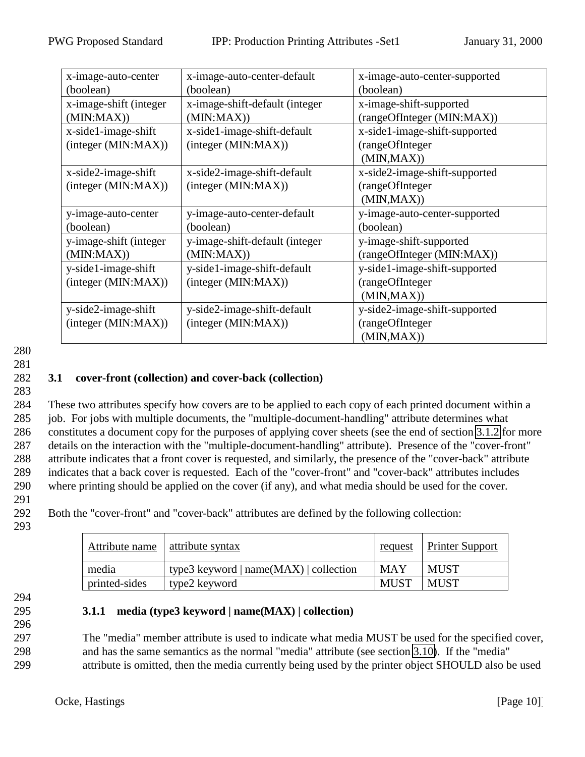<span id="page-9-0"></span>

| x-image-auto-center    | x-image-auto-center-default    | x-image-auto-center-supported |
|------------------------|--------------------------------|-------------------------------|
| (boolean)              | (boolean)                      | (boolean)                     |
| x-image-shift (integer | x-image-shift-default (integer | x-image-shift-supported       |
| (MIN:MAX)              | (MIN:MAX)                      | (rangeOfInteger (MIN:MAX))    |
| x-side1-image-shift    | x-side1-image-shift-default    | x-side1-image-shift-supported |
| (integer (MIN:MAX))    | (integer (MIN:MAX))            | (rangeOfInteger               |
|                        |                                | (MIN, MAX))                   |
| x-side2-image-shift    | x-side2-image-shift-default    | x-side2-image-shift-supported |
| (integer (MIN:MAX))    | (integer (MIN:MAX))            | (rangeOfInteger               |
|                        |                                | (MIN, MAX))                   |
| y-image-auto-center    | y-image-auto-center-default    | y-image-auto-center-supported |
| (boolean)              | (boolean)                      | (boolean)                     |
| y-image-shift (integer | y-image-shift-default (integer | y-image-shift-supported       |
| (MIN:MAX)              | (MIN:MAX)                      | (rangeOfInteger (MIN:MAX))    |
| y-side1-image-shift    | y-side1-image-shift-default    | y-side1-image-shift-supported |
| (integer (MIN: MAX))   | (integer (MIN:MAX))            | (rangeOfInteger               |
|                        |                                | (MIN, MAX))                   |
| y-side2-image-shift    | y-side2-image-shift-default    | y-side2-image-shift-supported |
| (integer (MIN:MAX))    | (integer (MIN:MAX))            | (rangeOfInteger               |
|                        |                                | (MIN, MAX))                   |

# 281

283

#### 282 **3.1 cover-front (collection) and cover-back (collection)**

 These two attributes specify how covers are to be applied to each copy of each printed document within a job. For jobs with multiple documents, the "multiple-document-handling" attribute determines what constitutes a document copy for the purposes of applying cover sheets (see the end of section [3.1.2](#page-10-0) for more details on the interaction with the "multiple-document-handling" attribute). Presence of the "cover-front" attribute indicates that a front cover is requested, and similarly, the presence of the "cover-back" attribute indicates that a back cover is requested. Each of the "cover-front" and "cover-back" attributes includes where printing should be applied on the cover (if any), and what media should be used for the cover.

291

292 Both the "cover-front" and "cover-back" attributes are defined by the following collection:

293

| Attribute name | attribute syntax                       | <u>request</u> | <b>Printer Support</b> |
|----------------|----------------------------------------|----------------|------------------------|
| media          | type3 keyword $ name(MAX) $ collection | <b>MAY</b>     | <b>MUST</b>            |
| printed-sides  | type2 keyword                          | <b>MUST</b>    | <b>MUST</b>            |

294

296

## 295 **3.1.1 media (type3 keyword | name(MAX) | collection)**

297 The "media" member attribute is used to indicate what media MUST be used for the specified cover, 298 and has the same semantics as the normal "media" attribute (see section [3.10\)](#page-18-0). If the "media" 299 attribute is omitted, then the media currently being used by the printer object SHOULD also be used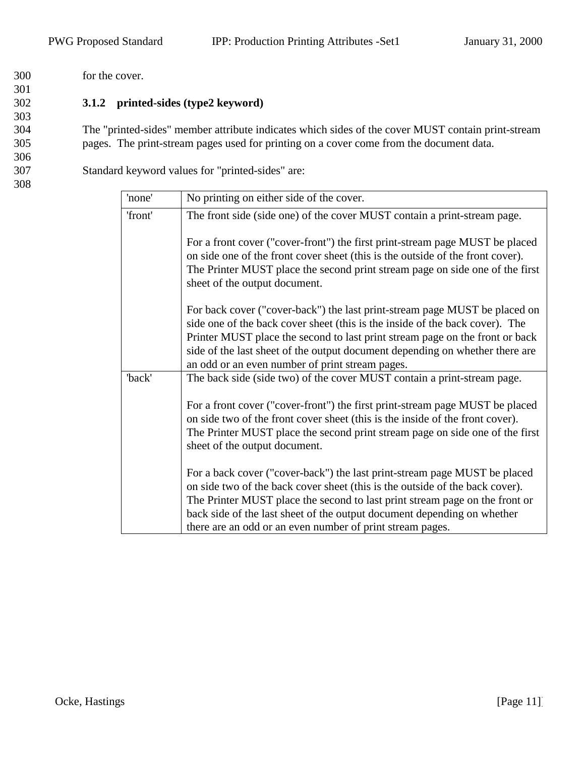<span id="page-10-0"></span>300 for the cover. 301

303

306

308

# 302 **3.1.2 printed-sides (type2 keyword)**

304 The "printed-sides" member attribute indicates which sides of the cover MUST contain print-stream 305 pages. The print-stream pages used for printing on a cover come from the document data.

307 Standard keyword values for "printed-sides" are:

| 'none'  | No printing on either side of the cover.                                                                                                                                                                                                                                                                                                                                         |
|---------|----------------------------------------------------------------------------------------------------------------------------------------------------------------------------------------------------------------------------------------------------------------------------------------------------------------------------------------------------------------------------------|
| 'front' | The front side (side one) of the cover MUST contain a print-stream page.                                                                                                                                                                                                                                                                                                         |
|         | For a front cover ("cover-front") the first print-stream page MUST be placed<br>on side one of the front cover sheet (this is the outside of the front cover).<br>The Printer MUST place the second print stream page on side one of the first<br>sheet of the output document.                                                                                                  |
|         | For back cover ("cover-back") the last print-stream page MUST be placed on<br>side one of the back cover sheet (this is the inside of the back cover). The<br>Printer MUST place the second to last print stream page on the front or back<br>side of the last sheet of the output document depending on whether there are<br>an odd or an even number of print stream pages.    |
| 'back'  | The back side (side two) of the cover MUST contain a print-stream page.                                                                                                                                                                                                                                                                                                          |
|         | For a front cover ("cover-front") the first print-stream page MUST be placed<br>on side two of the front cover sheet (this is the inside of the front cover).<br>The Printer MUST place the second print stream page on side one of the first<br>sheet of the output document.                                                                                                   |
|         | For a back cover ("cover-back") the last print-stream page MUST be placed<br>on side two of the back cover sheet (this is the outside of the back cover).<br>The Printer MUST place the second to last print stream page on the front or<br>back side of the last sheet of the output document depending on whether<br>there are an odd or an even number of print stream pages. |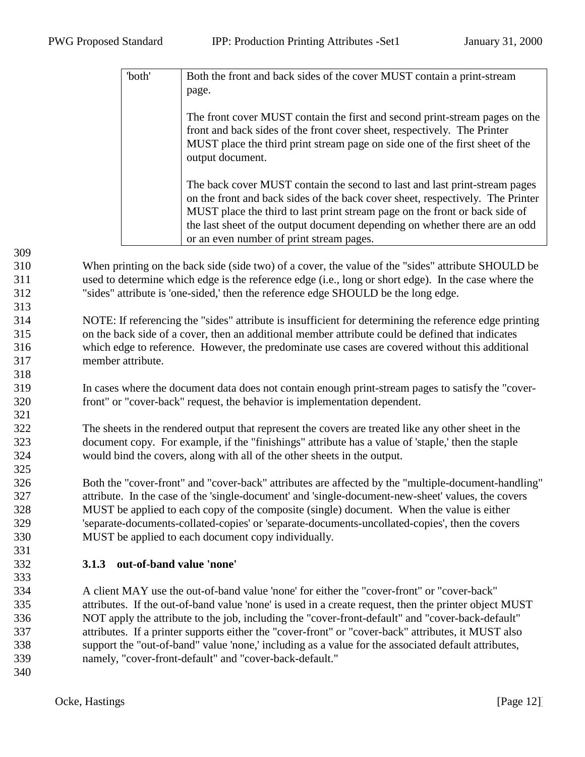<span id="page-11-0"></span>

| 'both' | Both the front and back sides of the cover MUST contain a print-stream                                                                                                                                                                                                                                                                                                 |
|--------|------------------------------------------------------------------------------------------------------------------------------------------------------------------------------------------------------------------------------------------------------------------------------------------------------------------------------------------------------------------------|
|        | page.                                                                                                                                                                                                                                                                                                                                                                  |
|        | The front cover MUST contain the first and second print-stream pages on the<br>front and back sides of the front cover sheet, respectively. The Printer<br>MUST place the third print stream page on side one of the first sheet of the<br>output document.                                                                                                            |
|        | The back cover MUST contain the second to last and last print-stream pages<br>on the front and back sides of the back cover sheet, respectively. The Printer<br>MUST place the third to last print stream page on the front or back side of<br>the last sheet of the output document depending on whether there are an odd<br>or an even number of print stream pages. |

- When printing on the back side (side two) of a cover, the value of the "sides" attribute SHOULD be used to determine which edge is the reference edge (i.e., long or short edge). In the case where the "sides" attribute is 'one-sided,' then the reference edge SHOULD be the long edge.
- NOTE: If referencing the "sides" attribute is insufficient for determining the reference edge printing on the back side of a cover, then an additional member attribute could be defined that indicates which edge to reference. However, the predominate use cases are covered without this additional member attribute.
- In cases where the document data does not contain enough print-stream pages to satisfy the "cover-front" or "cover-back" request, the behavior is implementation dependent.
- The sheets in the rendered output that represent the covers are treated like any other sheet in the document copy. For example, if the "finishings" attribute has a value of 'staple,' then the staple would bind the covers, along with all of the other sheets in the output.
- Both the "cover-front" and "cover-back" attributes are affected by the "multiple-document-handling" attribute. In the case of the 'single-document' and 'single-document-new-sheet' values, the covers MUST be applied to each copy of the composite (single) document. When the value is either 'separate-documents-collated-copies' or 'separate-documents-uncollated-copies', then the covers MUST be applied to each document copy individually.

# **3.1.3 out-of-band value 'none'**

- A client MAY use the out-of-band value 'none' for either the "cover-front" or "cover-back" attributes. If the out-of-band value 'none' is used in a create request, then the printer object MUST NOT apply the attribute to the job, including the "cover-front-default" and "cover-back-default" attributes. If a printer supports either the "cover-front" or "cover-back" attributes, it MUST also support the "out-of-band" value 'none,' including as a value for the associated default attributes, namely, "cover-front-default" and "cover-back-default."
-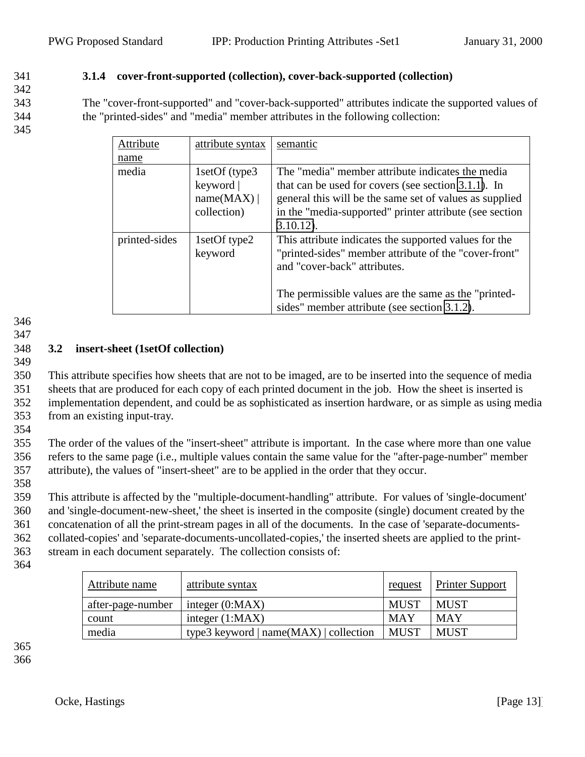#### <span id="page-12-0"></span>341 **3.1.4 cover-front-supported (collection), cover-back-supported (collection)**

342

343 The "cover-front-supported" and "cover-back-supported" attributes indicate the supported values of 344 the "printed-sides" and "media" member attributes in the following collection:

345

| Attribute                                | attribute syntax                                        | semantic                                                                                                                                                                                                                                               |
|------------------------------------------|---------------------------------------------------------|--------------------------------------------------------------------------------------------------------------------------------------------------------------------------------------------------------------------------------------------------------|
| name                                     |                                                         |                                                                                                                                                                                                                                                        |
| media                                    | 1setOf (type3)<br>keyword  <br>name(MAX)<br>collection) | The "media" member attribute indicates the media<br>that can be used for covers (see section 3.1.1). In<br>general this will be the same set of values as supplied<br>in the "media-supported" printer attribute (see section<br>$3.10.12$ ).          |
| printed-sides<br>1setOf type2<br>keyword |                                                         | This attribute indicates the supported values for the<br>"printed-sides" member attribute of the "cover-front"<br>and "cover-back" attributes.<br>The permissible values are the same as the "printed-<br>sides" member attribute (see section 3.1.2). |

346

347

#### 348 **3.2 insert-sheet (1setOf collection)**

349 This attribute specifies how sheets that are not to be imaged, are to be inserted into the sequence of media sheets that are produced for each copy of each printed document in the job. How the sheet is inserted is implementation dependent, and could be as sophisticated as insertion hardware, or as simple as using media from an existing input-tray.

354

355 The order of the values of the "insert-sheet" attribute is important. In the case where more than one value 356 refers to the same page (i.e., multiple values contain the same value for the "after-page-number" member 357 attribute), the values of "insert-sheet" are to be applied in the order that they occur.

358

 This attribute is affected by the "multiple-document-handling" attribute. For values of 'single-document' and 'single-document-new-sheet,' the sheet is inserted in the composite (single) document created by the concatenation of all the print-stream pages in all of the documents. In the case of 'separate-documents- collated-copies' and 'separate-documents-uncollated-copies,' the inserted sheets are applied to the print-stream in each document separately. The collection consists of:

364

| Attribute name    | attribute syntax                       | <u>request</u> | Printer Support |
|-------------------|----------------------------------------|----------------|-----------------|
| after-page-number | integer $(0:MAX)$                      | <b>MUST</b>    | <b>MUST</b>     |
| count             | integer $(1:MAX)$                      | <b>MAY</b>     | MAY             |
| media             | type3 keyword $ name(MAX) $ collection | <b>MUST</b>    | <b>MUST</b>     |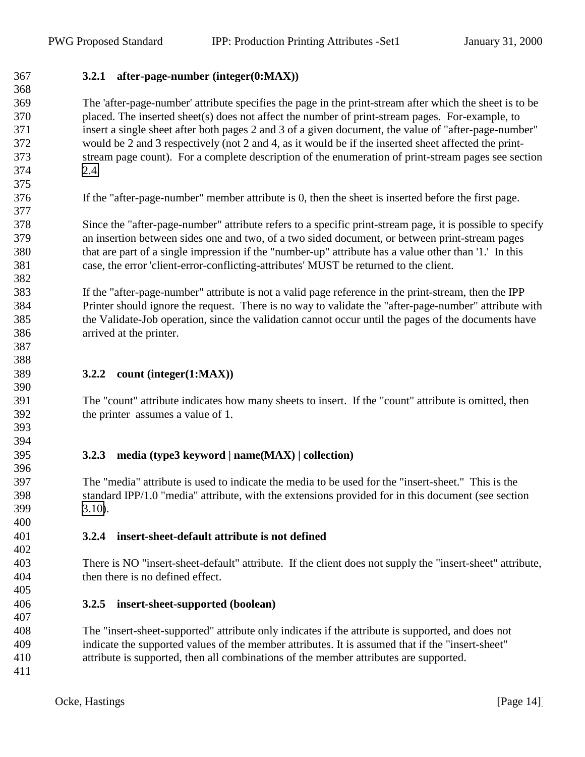<span id="page-13-0"></span>**3.2.1 after-page-number (integer(0:MAX))**

 The 'after-page-number' attribute specifies the page in the print-stream after which the sheet is to be placed. The inserted sheet(s) does not affect the number of print-stream pages. For-example, to insert a single sheet after both pages 2 and 3 of a given document, the value of "after-page-number" would be 2 and 3 respectively (not 2 and 4, as it would be if the inserted sheet affected the print- stream page count). For a complete description of the enumeration of print-stream pages see section [2.4.](#page-6-0) 

If the "after-page-number" member attribute is 0, then the sheet is inserted before the first page.

 Since the "after-page-number" attribute refers to a specific print-stream page, it is possible to specify an insertion between sides one and two, of a two sided document, or between print-stream pages that are part of a single impression if the "number-up" attribute has a value other than '1.' In this case, the error 'client-error-conflicting-attributes' MUST be returned to the client. 

 If the "after-page-number" attribute is not a valid page reference in the print-stream, then the IPP Printer should ignore the request. There is no way to validate the "after-page-number" attribute with the Validate-Job operation, since the validation cannot occur until the pages of the documents have arrived at the printer.

# **3.2.2 count (integer(1:MAX))**

 The "count" attribute indicates how many sheets to insert. If the "count" attribute is omitted, then the printer assumes a value of 1.

# **3.2.3 media (type3 keyword | name(MAX) | collection)**

 The "media" attribute is used to indicate the media to be used for the "insert-sheet." This is the standard IPP/1.0 "media" attribute, with the extensions provided for in this document (see section [3.10\)](#page-18-0).

**3.2.4 insert-sheet-default attribute is not defined**

 There is NO "insert-sheet-default" attribute. If the client does not supply the "insert-sheet" attribute, then there is no defined effect.

# **3.2.5 insert-sheet-supported (boolean)**

 The "insert-sheet-supported" attribute only indicates if the attribute is supported, and does not indicate the supported values of the member attributes. It is assumed that if the "insert-sheet" attribute is supported, then all combinations of the member attributes are supported.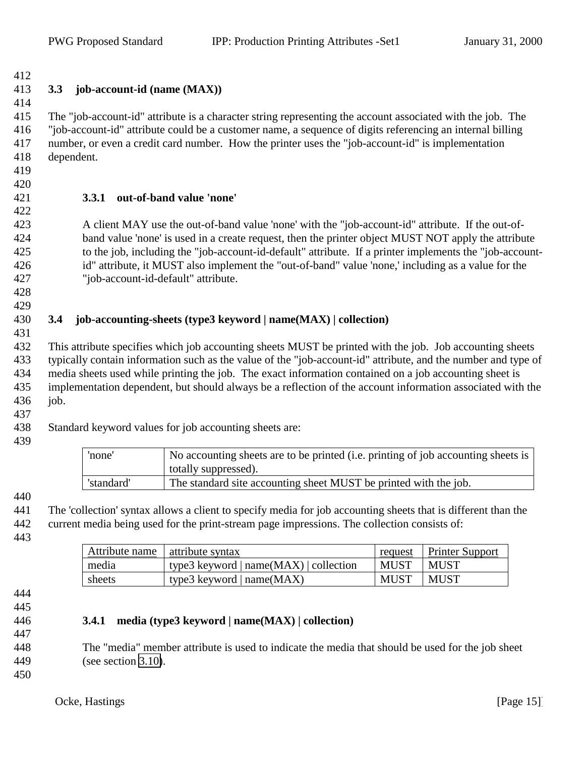#### <span id="page-14-0"></span> **3.3 job-account-id (name (MAX))**

 The "job-account-id" attribute is a character string representing the account associated with the job. The "job-account-id" attribute could be a customer name, a sequence of digits referencing an internal billing number, or even a credit card number. How the printer uses the "job-account-id" is implementation dependent.

- 
- 

# **3.3.1 out-of-band value 'none'**

 A client MAY use the out-of-band value 'none' with the "job-account-id" attribute. If the out-of- band value 'none' is used in a create request, then the printer object MUST NOT apply the attribute to the job, including the "job-account-id-default" attribute. If a printer implements the "job-account- id" attribute, it MUST also implement the "out-of-band" value 'none,' including as a value for the "job-account-id-default" attribute.

 

# **3.4 job-accounting-sheets (type3 keyword | name(MAX) | collection)**

 This attribute specifies which job accounting sheets MUST be printed with the job. Job accounting sheets typically contain information such as the value of the "job-account-id" attribute, and the number and type of media sheets used while printing the job. The exact information contained on a job accounting sheet is implementation dependent, but should always be a reflection of the account information associated with the 436 iob.

Standard keyword values for job accounting sheets are:

| 'none'     | No accounting sheets are to be printed (i.e. printing of job accounting sheets is<br>totally suppressed). |
|------------|-----------------------------------------------------------------------------------------------------------|
| 'standard' | The standard site accounting sheet MUST be printed with the job.                                          |

 The 'collection' syntax allows a client to specify media for job accounting sheets that is different than the current media being used for the print-stream page impressions. The collection consists of:

| Attribute name   attribute syntax |                                                |      | request Printer Support |
|-----------------------------------|------------------------------------------------|------|-------------------------|
| media                             | $ $ type3 keyword $ $ name(MAX) $ $ collection | MUST | MUST                    |
| sheets                            | type3 keyword $ name(MAX) $                    | MUST | <b>MUST</b>             |

- 
- 

# **3.4.1 media (type3 keyword | name(MAX) | collection)**

- The "media" member attribute is used to indicate the media that should be used for the job sheet (see section [3.10\)](#page-18-0).
	-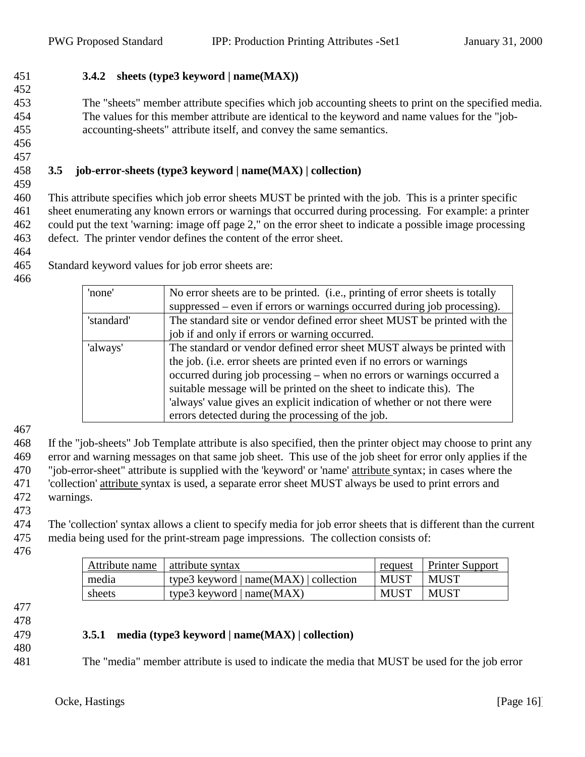<span id="page-15-0"></span>**3.4.2 sheets (type3 keyword | name(MAX))**

 The "sheets" member attribute specifies which job accounting sheets to print on the specified media. The values for this member attribute are identical to the keyword and name values for the "job-accounting-sheets" attribute itself, and convey the same semantics.

 

#### **3.5 job-error-sheets (type3 keyword | name(MAX) | collection)**

 This attribute specifies which job error sheets MUST be printed with the job. This is a printer specific sheet enumerating any known errors or warnings that occurred during processing. For example: a printer could put the text 'warning: image off page 2," on the error sheet to indicate a possible image processing defect. The printer vendor defines the content of the error sheet.

Standard keyword values for job error sheets are:

| 'none'     | No error sheets are to be printed. (i.e., printing of error sheets is totally<br>suppressed – even if errors or warnings occurred during job processing). |  |
|------------|-----------------------------------------------------------------------------------------------------------------------------------------------------------|--|
| 'standard' | The standard site or vendor defined error sheet MUST be printed with the                                                                                  |  |
|            | job if and only if errors or warning occurred.                                                                                                            |  |
| 'always'   | The standard or vendor defined error sheet MUST always be printed with                                                                                    |  |
|            | the job. (i.e. error sheets are printed even if no errors or warnings                                                                                     |  |
|            | occurred during job processing – when no errors or warnings occurred a                                                                                    |  |
|            | suitable message will be printed on the sheet to indicate this). The                                                                                      |  |
|            | 'always' value gives an explicit indication of whether or not there were                                                                                  |  |
|            | errors detected during the processing of the job.                                                                                                         |  |

 If the "job-sheets" Job Template attribute is also specified, then the printer object may choose to print any error and warning messages on that same job sheet. This use of the job sheet for error only applies if the "job-error-sheet" attribute is supplied with the 'keyword' or 'name' attribute syntax; in cases where the 'collection' attribute syntax is used, a separate error sheet MUST always be used to print errors and warnings.

 The 'collection' syntax allows a client to specify media for job error sheets that is different than the current media being used for the print-stream page impressions. The collection consists of:

| Attribute name   attribute syntax |                                        | request     | <b>Printer Support</b> |
|-----------------------------------|----------------------------------------|-------------|------------------------|
| media                             | type3 keyword $ name(MAX) $ collection | <b>MUST</b> | <b>MUST</b>            |
| sheets                            | type3 keyword $ name(MAX) $            | MUST        | MUST                   |

- 
- 

## **3.5.1 media (type3 keyword | name(MAX) | collection)**

The "media" member attribute is used to indicate the media that MUST be used for the job error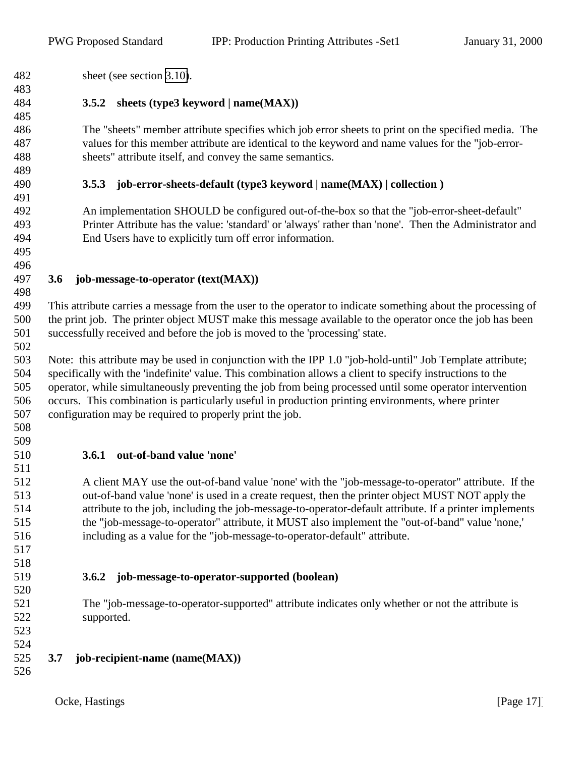<span id="page-16-0"></span>sheet (see section [3.10\)](#page-18-0).

## **3.5.2 sheets (type3 keyword | name(MAX))**

 The "sheets" member attribute specifies which job error sheets to print on the specified media. The values for this member attribute are identical to the keyword and name values for the "job-error-sheets" attribute itself, and convey the same semantics.

#### **3.5.3 job-error-sheets-default (type3 keyword | name(MAX) | collection )**

 An implementation SHOULD be configured out-of-the-box so that the "job-error-sheet-default" Printer Attribute has the value: 'standard' or 'always' rather than 'none'. Then the Administrator and End Users have to explicitly turn off error information.

 

#### **3.6 job-message-to-operator (text(MAX))**

 This attribute carries a message from the user to the operator to indicate something about the processing of the print job. The printer object MUST make this message available to the operator once the job has been successfully received and before the job is moved to the 'processing' state.

 Note: this attribute may be used in conjunction with the IPP 1.0 "job-hold-until" Job Template attribute; specifically with the 'indefinite' value. This combination allows a client to specify instructions to the operator, while simultaneously preventing the job from being processed until some operator intervention occurs. This combination is particularly useful in production printing environments, where printer configuration may be required to properly print the job.

 

#### **3.6.1 out-of-band value 'none'**

 A client MAY use the out-of-band value 'none' with the "job-message-to-operator" attribute. If the out-of-band value 'none' is used in a create request, then the printer object MUST NOT apply the attribute to the job, including the job-message-to-operator-default attribute. If a printer implements the "job-message-to-operator" attribute, it MUST also implement the "out-of-band" value 'none,' including as a value for the "job-message-to-operator-default" attribute.

 

# **3.6.2 job-message-to-operator-supported (boolean)**

 The "job-message-to-operator-supported" attribute indicates only whether or not the attribute is supported.

 

## **3.7 job-recipient-name (name(MAX))**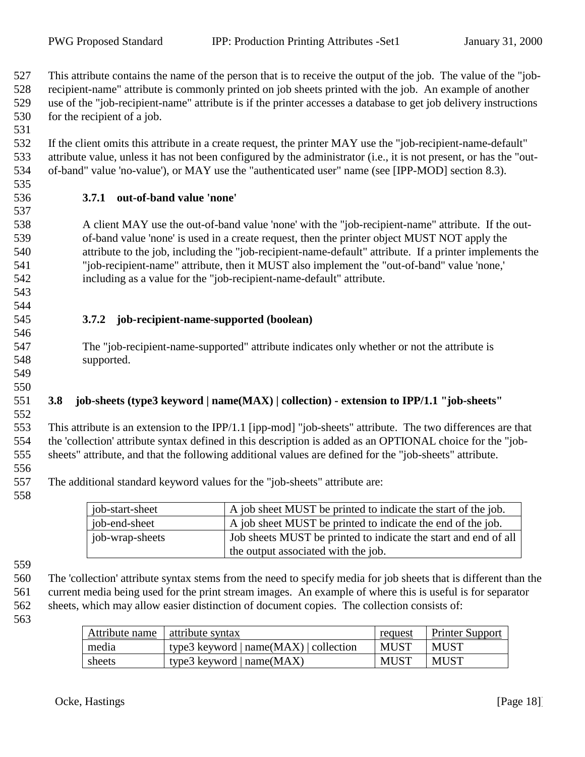<span id="page-17-0"></span> This attribute contains the name of the person that is to receive the output of the job. The value of the "job- recipient-name" attribute is commonly printed on job sheets printed with the job. An example of another use of the "job-recipient-name" attribute is if the printer accesses a database to get job delivery instructions for the recipient of a job.

- If the client omits this attribute in a create request, the printer MAY use the "job-recipient-name-default" attribute value, unless it has not been configured by the administrator (i.e., it is not present, or has the "out-of-band" value 'no-value'), or MAY use the "authenticated user" name (see [IPP-MOD] section 8.3).
- 

## **3.7.1 out-of-band value 'none'**

 A client MAY use the out-of-band value 'none' with the "job-recipient-name" attribute. If the out- of-band value 'none' is used in a create request, then the printer object MUST NOT apply the attribute to the job, including the "job-recipient-name-default" attribute. If a printer implements the "job-recipient-name" attribute, then it MUST also implement the "out-of-band" value 'none,' including as a value for the "job-recipient-name-default" attribute.

 

## **3.7.2 job-recipient-name-supported (boolean)**

 The "job-recipient-name-supported" attribute indicates only whether or not the attribute is supported.

 

#### **3.8 job-sheets (type3 keyword | name(MAX) | collection) - extension to IPP/1.1 "job-sheets"**

 This attribute is an extension to the IPP/1.1 [ipp-mod] "job-sheets" attribute. The two differences are that the 'collection' attribute syntax defined in this description is added as an OPTIONAL choice for the "job-sheets" attribute, and that the following additional values are defined for the "job-sheets" attribute.

The additional standard keyword values for the "job-sheets" attribute are:

| ob-start-sheet  | A job sheet MUST be printed to indicate the start of the job.   |
|-----------------|-----------------------------------------------------------------|
| job-end-sheet   | A job sheet MUST be printed to indicate the end of the job.     |
| job-wrap-sheets | Job sheets MUST be printed to indicate the start and end of all |
|                 | the output associated with the job.                             |

 The 'collection' attribute syntax stems from the need to specify media for job sheets that is different than the current media being used for the print stream images. An example of where this is useful is for separator sheets, which may allow easier distinction of document copies. The collection consists of:

| Attribute name   attribute syntax |                                            | request     | <b>Printer Support</b> |
|-----------------------------------|--------------------------------------------|-------------|------------------------|
| media                             | type3 keyword   name( $MAX$ )   collection | <b>MUST</b> | <b>MUST</b>            |
| sheets                            | type3 keyword $ name(MAX) $                | <b>MUST</b> | <b>MUST</b>            |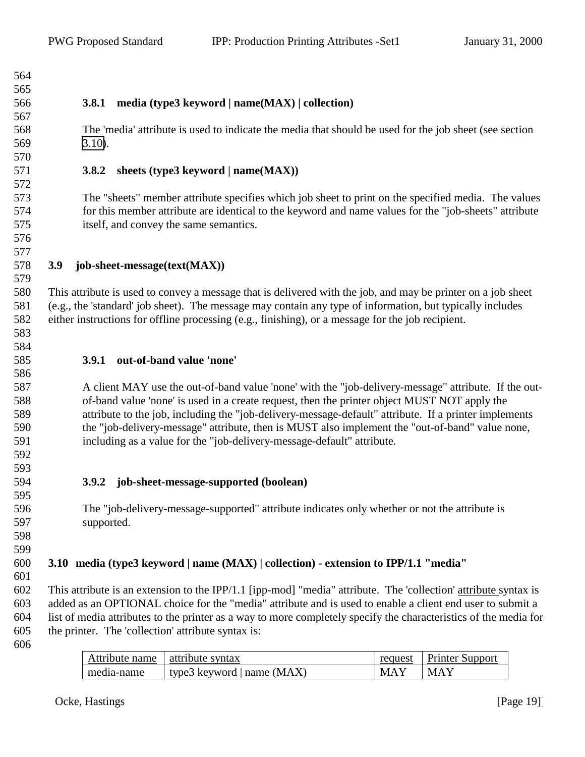<span id="page-18-0"></span> 

- 
- 

# **3.8.1 media (type3 keyword | name(MAX) | collection)**

 The 'media' attribute is used to indicate the media that should be used for the job sheet (see section 3.10).

## **3.8.2 sheets (type3 keyword | name(MAX))**

 The "sheets" member attribute specifies which job sheet to print on the specified media. The values for this member attribute are identical to the keyword and name values for the "job-sheets" attribute itself, and convey the same semantics.

# **3.9 job-sheet-message(text(MAX))**

 This attribute is used to convey a message that is delivered with the job, and may be printer on a job sheet (e.g., the 'standard' job sheet). The message may contain any type of information, but typically includes either instructions for offline processing (e.g., finishing), or a message for the job recipient.

## **3.9.1 out-of-band value 'none'**

 A client MAY use the out-of-band value 'none' with the "job-delivery-message" attribute. If the out- of-band value 'none' is used in a create request, then the printer object MUST NOT apply the attribute to the job, including the "job-delivery-message-default" attribute. If a printer implements the "job-delivery-message" attribute, then is MUST also implement the "out-of-band" value none, including as a value for the "job-delivery-message-default" attribute.

 

**3.9.2 job-sheet-message-supported (boolean)**

 The "job-delivery-message-supported" attribute indicates only whether or not the attribute is supported.

 

# **3.10 media (type3 keyword | name (MAX) | collection) - extension to IPP/1.1 "media"**

 This attribute is an extension to the IPP/1.1 [ipp-mod] "media" attribute. The 'collection' attribute syntax is added as an OPTIONAL choice for the "media" attribute and is used to enable a client end user to submit a list of media attributes to the printer as a way to more completely specify the characteristics of the media for the printer. The 'collection' attribute syntax is:

| Attribute name | attribute syntax             | request    | <b>Printer Support</b> |
|----------------|------------------------------|------------|------------------------|
| media-name     | type3 keyword   name $(MAX)$ | <b>MAY</b> | <b>MAY</b>             |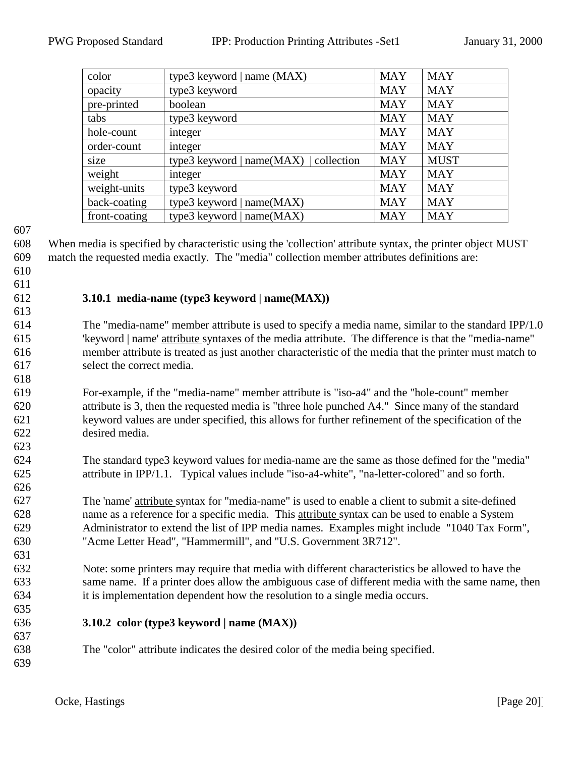<span id="page-19-0"></span>

| color         | type3 keyword   name $(MAX)$             | <b>MAY</b> | <b>MAY</b>  |
|---------------|------------------------------------------|------------|-------------|
| opacity       | type3 keyword                            | <b>MAY</b> | <b>MAY</b>  |
| pre-printed   | boolean                                  | <b>MAY</b> | <b>MAY</b>  |
| tabs          | type3 keyword                            | <b>MAY</b> | <b>MAY</b>  |
| hole-count    | integer                                  | <b>MAY</b> | <b>MAY</b>  |
| order-count   | integer                                  | <b>MAY</b> | <b>MAY</b>  |
| size          | type3 keyword   $name(MAX)$   collection | <b>MAY</b> | <b>MUST</b> |
| weight        | integer                                  | <b>MAY</b> | <b>MAY</b>  |
| weight-units  | type3 keyword                            | <b>MAY</b> | <b>MAY</b>  |
| back-coating  | type3 keyword   name(MAX)                | <b>MAY</b> | <b>MAY</b>  |
| front-coating | type3 keyword   $name(MAX)$              | <b>MAY</b> | <b>MAY</b>  |

 When media is specified by characteristic using the 'collection' attribute syntax, the printer object MUST match the requested media exactly. The "media" collection member attributes definitions are:

 

#### **3.10.1 media-name (type3 keyword | name(MAX))**

- The "media-name" member attribute is used to specify a media name, similar to the standard IPP/1.0 'keyword | name' attribute syntaxes of the media attribute. The difference is that the "media-name" member attribute is treated as just another characteristic of the media that the printer must match to select the correct media.
- For-example, if the "media-name" member attribute is "iso-a4" and the "hole-count" member attribute is 3, then the requested media is "three hole punched A4." Since many of the standard keyword values are under specified, this allows for further refinement of the specification of the desired media.
- The standard type3 keyword values for media-name are the same as those defined for the "media" attribute in IPP/1.1. Typical values include "iso-a4-white", "na-letter-colored" and so forth.
- The 'name' attribute syntax for "media-name" is used to enable a client to submit a site-defined name as a reference for a specific media. This attribute syntax can be used to enable a System Administrator to extend the list of IPP media names. Examples might include "1040 Tax Form", "Acme Letter Head", "Hammermill", and "U.S. Government 3R712".
- Note: some printers may require that media with different characteristics be allowed to have the same name. If a printer does allow the ambiguous case of different media with the same name, then it is implementation dependent how the resolution to a single media occurs.
- **3.10.2 color (type3 keyword | name (MAX))**
- The "color" attribute indicates the desired color of the media being specified.
-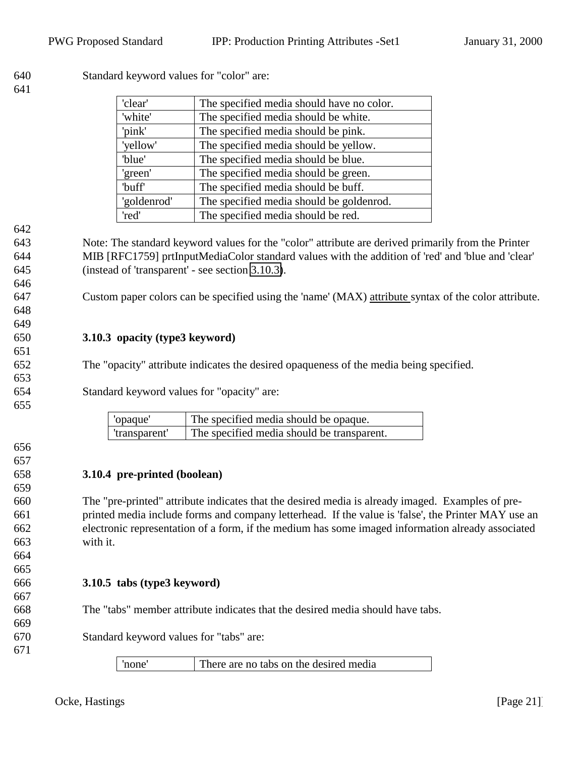<span id="page-20-0"></span>

| 640<br>641 | Standard keyword values for "color" are:                                                             |  |  |
|------------|------------------------------------------------------------------------------------------------------|--|--|
|            | 'clear'<br>The specified media should have no color.                                                 |  |  |
|            | 'white'<br>The specified media should be white.                                                      |  |  |
|            | 'pink'<br>The specified media should be pink.                                                        |  |  |
|            | 'yellow'<br>The specified media should be yellow.                                                    |  |  |
|            | 'blue'<br>The specified media should be blue.                                                        |  |  |
|            | The specified media should be green.<br>'green'                                                      |  |  |
|            | 'buff'<br>The specified media should be buff.                                                        |  |  |
|            | 'goldenrod'<br>The specified media should be goldenrod.                                              |  |  |
|            | 'red'<br>The specified media should be red.                                                          |  |  |
| 642        |                                                                                                      |  |  |
| 643        | Note: The standard keyword values for the "color" attribute are derived primarily from the Printer   |  |  |
| 644        | MIB [RFC1759] prtInputMediaColor standard values with the addition of 'red' and 'blue and 'clear'    |  |  |
| 645        | (instead of 'transparent' - see section 3.10.3).                                                     |  |  |
| 646        |                                                                                                      |  |  |
| 647        | Custom paper colors can be specified using the 'name' (MAX) attribute syntax of the color attribute. |  |  |
| 648        |                                                                                                      |  |  |
| 649        |                                                                                                      |  |  |
| 650        | 3.10.3 opacity (type3 keyword)                                                                       |  |  |
| 651        |                                                                                                      |  |  |
| 652        | The "opacity" attribute indicates the desired opaqueness of the media being specified.               |  |  |
| 653        |                                                                                                      |  |  |
| 654        | Standard keyword values for "opacity" are:                                                           |  |  |
| 655        |                                                                                                      |  |  |
|            | 'opaque'<br>The specified media should be opaque.                                                    |  |  |
|            | 'transparent'<br>The specified media should be transparent.                                          |  |  |
| 656        |                                                                                                      |  |  |
| 657        |                                                                                                      |  |  |
| 658        | 3.10.4 pre-printed (boolean)                                                                         |  |  |
| 659        |                                                                                                      |  |  |
| 660        | The "pre-printed" attribute indicates that the desired media is already imaged. Examples of pre-     |  |  |
| 661        | printed media include forms and company letterhead. If the value is 'false', the Printer MAY use an  |  |  |
| 662        | electronic representation of a form, if the medium has some imaged information already associated    |  |  |
| 663        | with it.                                                                                             |  |  |
| 664        |                                                                                                      |  |  |
| 665        |                                                                                                      |  |  |
| 666        | 3.10.5 tabs (type3 keyword)                                                                          |  |  |
| 667        |                                                                                                      |  |  |
| 668        | The "tabs" member attribute indicates that the desired media should have tabs.                       |  |  |
| 669        |                                                                                                      |  |  |
| 670        | Standard keyword values for "tabs" are:                                                              |  |  |
| 671        |                                                                                                      |  |  |
|            | 'none'<br>There are no tabs on the desired media                                                     |  |  |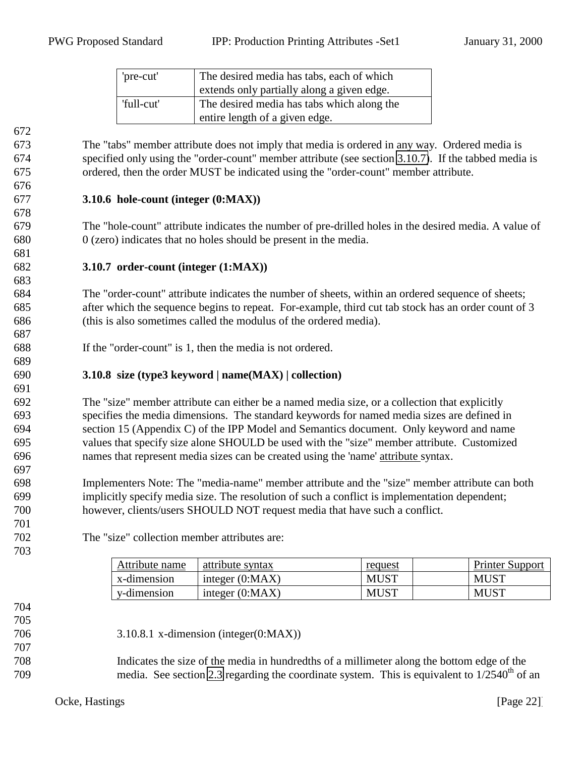| 'pre-cut'  | The desired media has tabs, each of which  |  |
|------------|--------------------------------------------|--|
|            | extends only partially along a given edge. |  |
| 'full-cut' | The desired media has tabs which along the |  |
|            | entire length of a given edge.             |  |

 The "tabs" member attribute does not imply that media is ordered in any way. Ordered media is specified only using the "order-count" member attribute (see section 3.10.7). If the tabbed media is ordered, then the order MUST be indicated using the "order-count" member attribute.

#### **3.10.6 hole-count (integer (0:MAX))**

 The "hole-count" attribute indicates the number of pre-drilled holes in the desired media. A value of 0 (zero) indicates that no holes should be present in the media.

#### **3.10.7 order-count (integer (1:MAX))**

 The "order-count" attribute indicates the number of sheets, within an ordered sequence of sheets; after which the sequence begins to repeat. For-example, third cut tab stock has an order count of 3 (this is also sometimes called the modulus of the ordered media).

If the "order-count" is 1, then the media is not ordered.

The "size" collection member attributes are:

#### **3.10.8 size (type3 keyword | name(MAX) | collection)**

 The "size" member attribute can either be a named media size, or a collection that explicitly specifies the media dimensions. The standard keywords for named media sizes are defined in section 15 (Appendix C) of the IPP Model and Semantics document. Only keyword and name values that specify size alone SHOULD be used with the "size" member attribute. Customized names that represent media sizes can be created using the 'name' attribute syntax.

 Implementers Note: The "media-name" member attribute and the "size" member attribute can both implicitly specify media size. The resolution of such a conflict is implementation dependent; however, clients/users SHOULD NOT request media that have such a conflict.

> Attribute name attribute syntax request request Printer Support  $x$ -dimension  $|$  integer (0:MAX)  $\vert$  MUST  $\vert$  MUST  $\vert$  MUST y-dimension integer (0:MAX) MUST MUST

 

<span id="page-21-0"></span>

- 3.10.8.1 x-dimension (integer(0:MAX))
- Indicates the size of the media in hundredths of a millimeter along the bottom edge of the 709 media. See section [2.3](#page-6-0) regarding the coordinate system. This is equivalent to  $1/2540<sup>th</sup>$  of an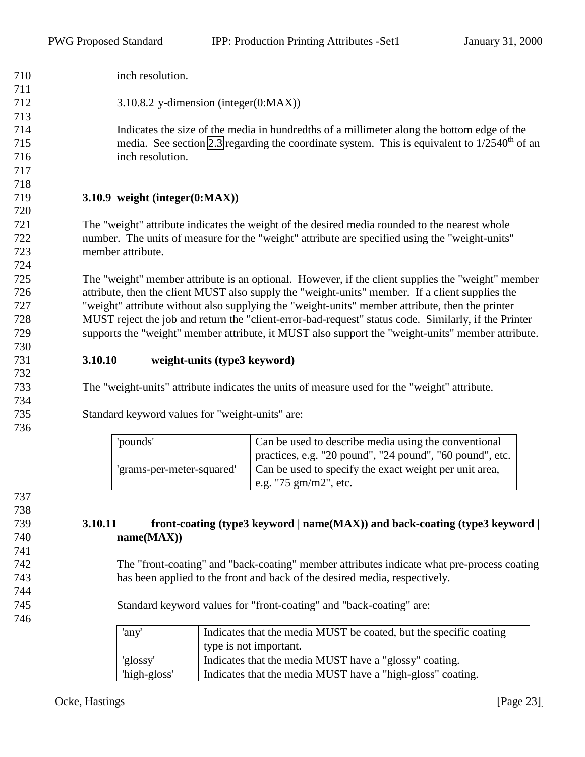<span id="page-22-0"></span>

| 710 | inch resolution.                                                                                     |                                                                                                   |  |
|-----|------------------------------------------------------------------------------------------------------|---------------------------------------------------------------------------------------------------|--|
| 711 |                                                                                                      |                                                                                                   |  |
| 712 | 3.10.8.2 y-dimension (integer(0:MAX))                                                                |                                                                                                   |  |
| 713 |                                                                                                      |                                                                                                   |  |
| 714 |                                                                                                      | Indicates the size of the media in hundredths of a millimeter along the bottom edge of the        |  |
| 715 |                                                                                                      | media. See section 2.3 regarding the coordinate system. This is equivalent to $1/2540^{th}$ of an |  |
| 716 | inch resolution.                                                                                     |                                                                                                   |  |
| 717 |                                                                                                      |                                                                                                   |  |
| 718 |                                                                                                      |                                                                                                   |  |
| 719 | 3.10.9 weight $(integer(0:MAX))$                                                                     |                                                                                                   |  |
| 720 |                                                                                                      |                                                                                                   |  |
| 721 |                                                                                                      | The "weight" attribute indicates the weight of the desired media rounded to the nearest whole     |  |
| 722 |                                                                                                      | number. The units of measure for the "weight" attribute are specified using the "weight-units"    |  |
| 723 | member attribute.                                                                                    |                                                                                                   |  |
| 724 |                                                                                                      |                                                                                                   |  |
| 725 | The "weight" member attribute is an optional. However, if the client supplies the "weight" member    |                                                                                                   |  |
| 726 | attribute, then the client MUST also supply the "weight-units" member. If a client supplies the      |                                                                                                   |  |
| 727 | "weight" attribute without also supplying the "weight-units" member attribute, then the printer      |                                                                                                   |  |
| 728 | MUST reject the job and return the "client-error-bad-request" status code. Similarly, if the Printer |                                                                                                   |  |
| 729 | supports the "weight" member attribute, it MUST also support the "weight-units" member attribute.    |                                                                                                   |  |
| 730 |                                                                                                      |                                                                                                   |  |
| 731 | 3.10.10<br>weight-units (type3 keyword)                                                              |                                                                                                   |  |
| 732 |                                                                                                      |                                                                                                   |  |
| 733 |                                                                                                      | The "weight-units" attribute indicates the units of measure used for the "weight" attribute.      |  |
| 734 |                                                                                                      |                                                                                                   |  |
| 735 | Standard keyword values for "weight-units" are:                                                      |                                                                                                   |  |
| 736 |                                                                                                      |                                                                                                   |  |
|     | 'pounds'                                                                                             | Can be used to describe media using the conventional                                              |  |
|     |                                                                                                      | practices, e.g. "20 pound", "24 pound", "60 pound", etc.                                          |  |

## **3.10.11 front-coating (type3 keyword | name(MAX)) and back-coating (type3 keyword | name(MAX))**

'grams-per-meter-squared' Can be used to specify the exact weight per unit area, e.g. "75 gm/m2", etc.

 The "front-coating" and "back-coating" member attributes indicate what pre-process coating has been applied to the front and back of the desired media, respectively.

Standard keyword values for "front-coating" and "back-coating" are:

| 'any'        | Indicates that the media MUST be coated, but the specific coating |  |
|--------------|-------------------------------------------------------------------|--|
|              | type is not important.                                            |  |
| 'glossy'     | Indicates that the media MUST have a "glossy" coating.            |  |
| 'high-gloss' | Indicates that the media MUST have a "high-gloss" coating.        |  |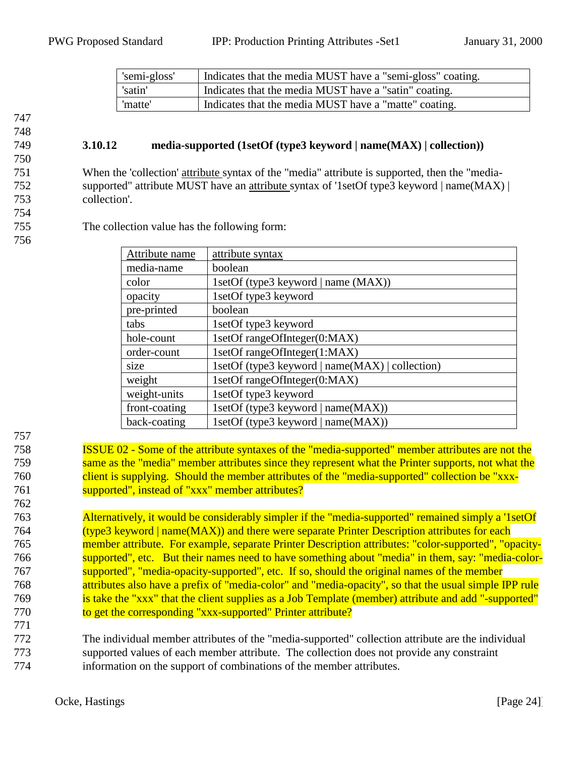<span id="page-23-0"></span>

| 'semi-gloss' | Indicates that the media MUST have a "semi-gloss" coating. |
|--------------|------------------------------------------------------------|
| 'satin'      | Indicates that the media MUST have a "satin" coating.      |
| 'matte'      | Indicates that the media MUST have a "matte" coating.      |

#### 749 **3.10.12 media-supported (1setOf (type3 keyword | name(MAX) | collection))**

751 When the 'collection' attribute syntax of the "media" attribute is supported, then the "media-752 supported" attribute MUST have an attribute syntax of '1setOf type3 keyword | name(MAX) | 753 collection'.

754 756

755 The collection value has the following form:

| Attribute name | attribute syntax                                |
|----------------|-------------------------------------------------|
| media-name     | boolean                                         |
| color          | 1setOf (type3 keyword   name (MAX))             |
| opacity        | 1setOf type3 keyword                            |
| pre-printed    | boolean                                         |
| tabs           | 1setOf type3 keyword                            |
| hole-count     | 1setOf rangeOfInteger(0:MAX)                    |
| order-count    | 1setOf rangeOfInteger(1:MAX)                    |
| size           | 1setOf (type3 keyword   name(MAX)   collection) |
| weight         | 1setOf rangeOfInteger(0:MAX)                    |
| weight-units   | 1setOf type3 keyword                            |
| front-coating  | 1setOf (type3 keyword   name(MAX))              |
| back-coating   | 1setOf (type3 keyword   name(MAX))              |

757

762

771

 ISSUE 02 - Some of the attribute syntaxes of the "media-supported" member attributes are not the 759 same as the "media" member attributes since they represent what the Printer supports, not what the client is supplying. Should the member attributes of the "media-supported" collection be "xxx-**Supported"**, instead of "xxx" member attributes?

 Alternatively, it would be considerably simpler if the "media-supported" remained simply a '1setOf (type3 keyword | name(MAX)) and there were separate Printer Description attributes for each member attribute. For example, separate Printer Description attributes: "color-supported", "opacity-766 supported", etc. But their names need to have something about "media" in them, say: "media-color-767 supported", "media-opacity-supported", etc. If so, should the original names of the member attributes also have a prefix of "media-color" and "media-opacity", so that the usual simple IPP rule is take the "xxx" that the client supplies as a Job Template (member) attribute and add "-supported" 770 to get the corresponding "xxx-supported" Printer attribute?

772 The individual member attributes of the "media-supported" collection attribute are the individual 773 supported values of each member attribute. The collection does not provide any constraint 774 information on the support of combinations of the member attributes.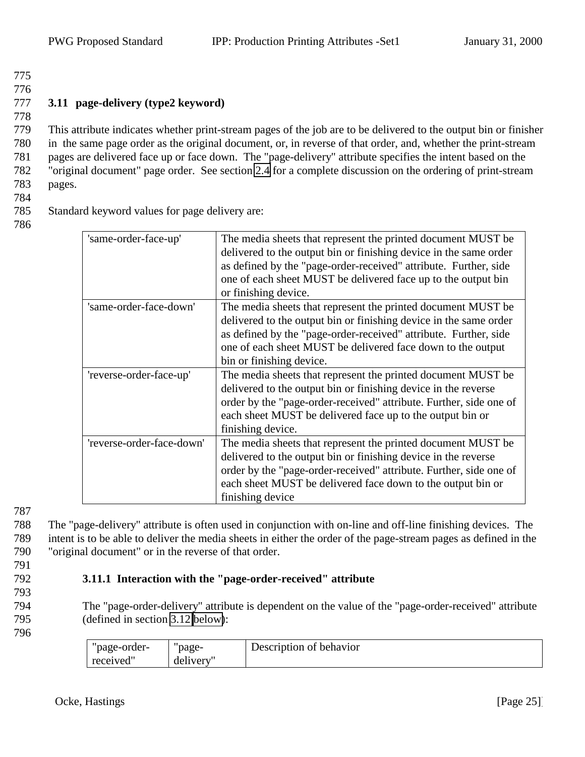778

# <span id="page-24-0"></span>777 **3.11 page-delivery (type2 keyword)**

 This attribute indicates whether print-stream pages of the job are to be delivered to the output bin or finisher in the same page order as the original document, or, in reverse of that order, and, whether the print-stream pages are delivered face up or face down. The "page-delivery" attribute specifies the intent based on the "original document" page order. See section [2.4](#page-6-0) for a complete discussion on the ordering of print-stream 783 pages.

784

| 785 |                                                |  |  |
|-----|------------------------------------------------|--|--|
|     |                                                |  |  |
|     | Standard keyword values for page delivery are: |  |  |

786

| 'same-order-face-up'      | The media sheets that represent the printed document MUST be.<br>delivered to the output bin or finishing device in the same order<br>as defined by the "page-order-received" attribute. Further, side<br>one of each sheet MUST be delivered face up to the output bin<br>or finishing device.   |
|---------------------------|---------------------------------------------------------------------------------------------------------------------------------------------------------------------------------------------------------------------------------------------------------------------------------------------------|
| 'same-order-face-down'    | The media sheets that represent the printed document MUST be.<br>delivered to the output bin or finishing device in the same order<br>as defined by the "page-order-received" attribute. Further, side<br>one of each sheet MUST be delivered face down to the output<br>bin or finishing device. |
| 'reverse-order-face-up'   | The media sheets that represent the printed document MUST be<br>delivered to the output bin or finishing device in the reverse<br>order by the "page-order-received" attribute. Further, side one of<br>each sheet MUST be delivered face up to the output bin or<br>finishing device.            |
| 'reverse-order-face-down' | The media sheets that represent the printed document MUST be<br>delivered to the output bin or finishing device in the reverse<br>order by the "page-order-received" attribute. Further, side one of<br>each sheet MUST be delivered face down to the output bin or<br>finishing device           |

787

788 The "page-delivery" attribute is often used in conjunction with on-line and off-line finishing devices. The 789 intent is to be able to deliver the media sheets in either the order of the page-stream pages as defined in the 790 "original document" or in the reverse of that order.

# 792 **3.11.1 Interaction with the "page-order-received" attribute**

793

- 794 The "page-order-delivery" attribute is dependent on the value of the "page-order-received" attribute 795 (defined in section [3.12 below\)](#page-25-0):
- 796

| "page-order- | 'page-   | Description of behavior |
|--------------|----------|-------------------------|
| received"    | delivery |                         |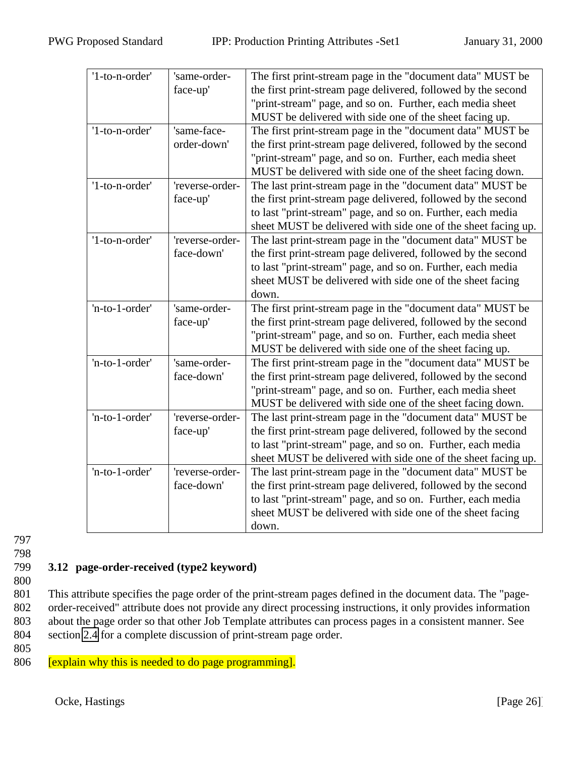<span id="page-25-0"></span>

| '1-to-n-order' | 'same-order-    | The first print-stream page in the "document data" MUST be    |
|----------------|-----------------|---------------------------------------------------------------|
|                | face-up'        | the first print-stream page delivered, followed by the second |
|                |                 | "print-stream" page, and so on. Further, each media sheet     |
|                |                 | MUST be delivered with side one of the sheet facing up.       |
| '1-to-n-order' | 'same-face-     | The first print-stream page in the "document data" MUST be    |
|                | order-down'     | the first print-stream page delivered, followed by the second |
|                |                 | "print-stream" page, and so on. Further, each media sheet     |
|                |                 | MUST be delivered with side one of the sheet facing down.     |
| '1-to-n-order' | 'reverse-order- | The last print-stream page in the "document data" MUST be     |
|                | face-up'        | the first print-stream page delivered, followed by the second |
|                |                 | to last "print-stream" page, and so on. Further, each media   |
|                |                 | sheet MUST be delivered with side one of the sheet facing up. |
| '1-to-n-order' | 'reverse-order- | The last print-stream page in the "document data" MUST be     |
|                | face-down'      | the first print-stream page delivered, followed by the second |
|                |                 | to last "print-stream" page, and so on. Further, each media   |
|                |                 | sheet MUST be delivered with side one of the sheet facing     |
|                |                 | down.                                                         |
| 'n-to-1-order' | 'same-order-    | The first print-stream page in the "document data" MUST be    |
|                | face-up'        | the first print-stream page delivered, followed by the second |
|                |                 | "print-stream" page, and so on. Further, each media sheet     |
|                |                 | MUST be delivered with side one of the sheet facing up.       |
| 'n-to-1-order' | 'same-order-    | The first print-stream page in the "document data" MUST be    |
|                | face-down'      | the first print-stream page delivered, followed by the second |
|                |                 | "print-stream" page, and so on. Further, each media sheet     |
|                |                 | MUST be delivered with side one of the sheet facing down.     |
| 'n-to-1-order' | 'reverse-order- | The last print-stream page in the "document data" MUST be     |
|                | face-up'        | the first print-stream page delivered, followed by the second |
|                |                 | to last "print-stream" page, and so on. Further, each media   |
|                |                 | sheet MUST be delivered with side one of the sheet facing up. |
| 'n-to-1-order' | 'reverse-order- | The last print-stream page in the "document data" MUST be     |
|                | face-down'      | the first print-stream page delivered, followed by the second |
|                |                 | to last "print-stream" page, and so on. Further, each media   |
|                |                 | sheet MUST be delivered with side one of the sheet facing     |
|                |                 | down.                                                         |

# 799 **3.12 page-order-received (type2 keyword)**

800

 This attribute specifies the page order of the print-stream pages defined in the document data. The "page- order-received" attribute does not provide any direct processing instructions, it only provides information about the page order so that other Job Template attributes can process pages in a consistent manner. See section [2.4](#page-6-0) for a complete discussion of print-stream page order.

805

806 [explain why this is needed to do page programming].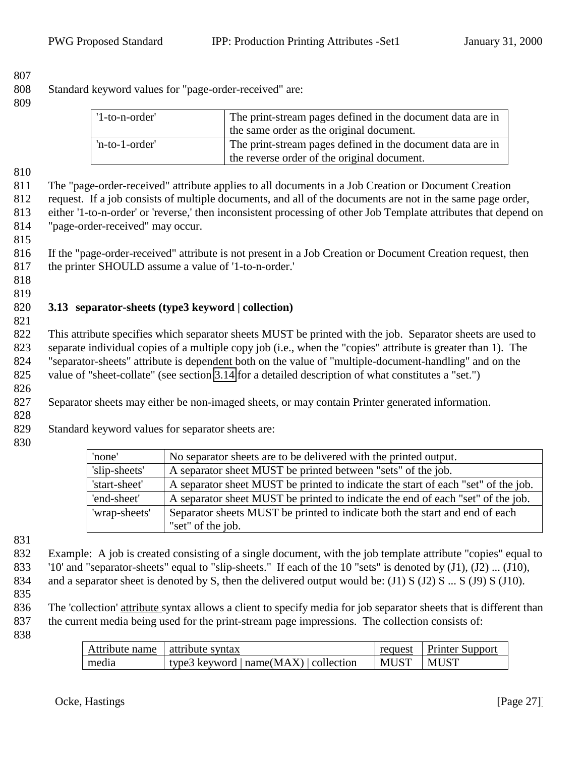<span id="page-26-0"></span>Standard keyword values for "page-order-received" are:

| '1-to-n-order' | The print-stream pages defined in the document data are in<br>the same order as the original document.    |
|----------------|-----------------------------------------------------------------------------------------------------------|
| 'n-to-1-order' | The print-stream pages defined in the document data are in<br>the reverse order of the original document. |

The "page-order-received" attribute applies to all documents in a Job Creation or Document Creation

 request. If a job consists of multiple documents, and all of the documents are not in the same page order, either '1-to-n-order' or 'reverse,' then inconsistent processing of other Job Template attributes that depend on "page-order-received" may occur.

 If the "page-order-received" attribute is not present in a Job Creation or Document Creation request, then the printer SHOULD assume a value of '1-to-n-order.'

#### 

#### **3.13 separator-sheets (type3 keyword | collection)**

 This attribute specifies which separator sheets MUST be printed with the job. Separator sheets are used to separate individual copies of a multiple copy job (i.e., when the "copies" attribute is greater than 1). The "separator-sheets" attribute is dependent both on the value of "multiple-document-handling" and on the value of "sheet-collate" (see section [3.14](#page-27-0) for a detailed description of what constitutes a "set.")

Separator sheets may either be non-imaged sheets, or may contain Printer generated information.

Standard keyword values for separator sheets are:

| 'none'        | No separator sheets are to be delivered with the printed output.                  |
|---------------|-----------------------------------------------------------------------------------|
| 'slip-sheets' | A separator sheet MUST be printed between "sets" of the job.                      |
| 'start-sheet' | A separator sheet MUST be printed to indicate the start of each "set" of the job. |
| 'end-sheet'   | A separator sheet MUST be printed to indicate the end of each "set" of the job.   |
| 'wrap-sheets' | Separator sheets MUST be printed to indicate both the start and end of each       |
|               | "set" of the job.                                                                 |

 Example: A job is created consisting of a single document, with the job template attribute "copies" equal to '10' and "separator-sheets" equal to "slip-sheets." If each of the 10 "sets" is denoted by (J1), (J2) ... (J10), 834 and a separator sheet is denoted by S, then the delivered output would be:  $(J1) S (J2) S ... S (J9) S (J10)$ .

836 The 'collection' attribute syntax allows a client to specify media for job separator sheets that is different than the current media being used for the print-stream page impressions. The collection consists of:

| Attribute name   attribute syntax |                                        |                   | request   Printer Support |
|-----------------------------------|----------------------------------------|-------------------|---------------------------|
| media                             | type3 keyword $ name(MAX) $ collection | MUST <sub>1</sub> | MUST                      |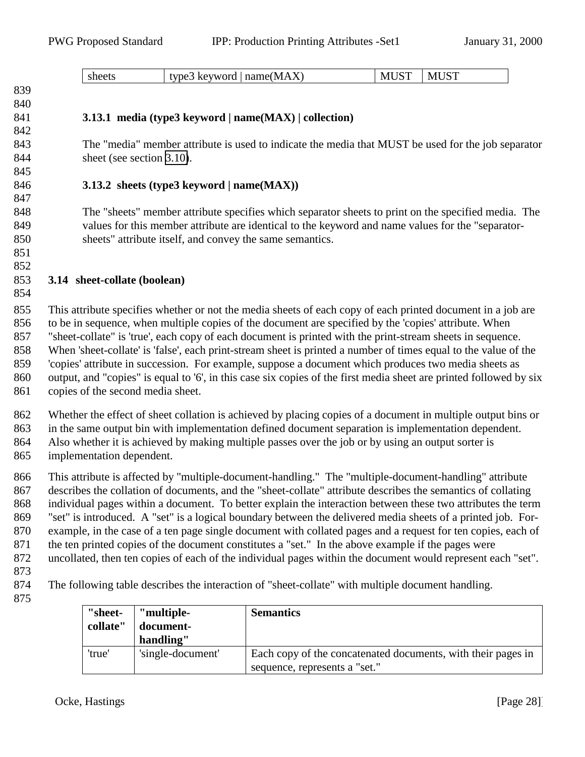| דים.<br>$\lambda$<br>name(MA<br>$N^{\prime}$<br>sheets<br>$\sim$ word.<br>tyne<br>IV.<br>$\sim$ $\sim$ $\sim$ $\sim$<br>$\overline{\phantom{a}}$<br>$\Lambda$<br>. .<br>$\mathbf{1} \mathbf{1} \mathbf{1} \mathbf{1} \mathbf{1}$<br>ັ້ |
|----------------------------------------------------------------------------------------------------------------------------------------------------------------------------------------------------------------------------------------|
|----------------------------------------------------------------------------------------------------------------------------------------------------------------------------------------------------------------------------------------|

# **3.13.1 media (type3 keyword | name(MAX) | collection)**

 The "media" member attribute is used to indicate the media that MUST be used for the job separator 844 sheet (see section [3.10\)](#page-18-0).

#### **3.13.2 sheets (type3 keyword | name(MAX))**

 The "sheets" member attribute specifies which separator sheets to print on the specified media. The values for this member attribute are identical to the keyword and name values for the "separator-sheets" attribute itself, and convey the same semantics.

 

<span id="page-27-0"></span> 

#### **3.14 sheet-collate (boolean)**

- This attribute specifies whether or not the media sheets of each copy of each printed document in a job are to be in sequence, when multiple copies of the document are specified by the 'copies' attribute. When "sheet-collate" is 'true', each copy of each document is printed with the print-stream sheets in sequence. When 'sheet-collate' is 'false', each print-stream sheet is printed a number of times equal to the value of the 'copies' attribute in succession. For example, suppose a document which produces two media sheets as 860 output, and "copies" is equal to '6', in this case six copies of the first media sheet are printed followed by six copies of the second media sheet.
- Whether the effect of sheet collation is achieved by placing copies of a document in multiple output bins or in the same output bin with implementation defined document separation is implementation dependent. Also whether it is achieved by making multiple passes over the job or by using an output sorter is
- implementation dependent.

 This attribute is affected by "multiple-document-handling." The "multiple-document-handling" attribute describes the collation of documents, and the "sheet-collate" attribute describes the semantics of collating individual pages within a document. To better explain the interaction between these two attributes the term "set" is introduced. A "set" is a logical boundary between the delivered media sheets of a printed job. For- example, in the case of a ten page single document with collated pages and a request for ten copies, each of the ten printed copies of the document constitutes a "set." In the above example if the pages were uncollated, then ten copies of each of the individual pages within the document would represent each "set".

The following table describes the interaction of "sheet-collate" with multiple document handling.

| "sheet-<br>collate" | "multiple-<br>document-<br>handling" | <b>Semantics</b>                                                                              |
|---------------------|--------------------------------------|-----------------------------------------------------------------------------------------------|
| 'true'              | 'single-document'                    | Each copy of the concatenated documents, with their pages in<br>sequence, represents a "set." |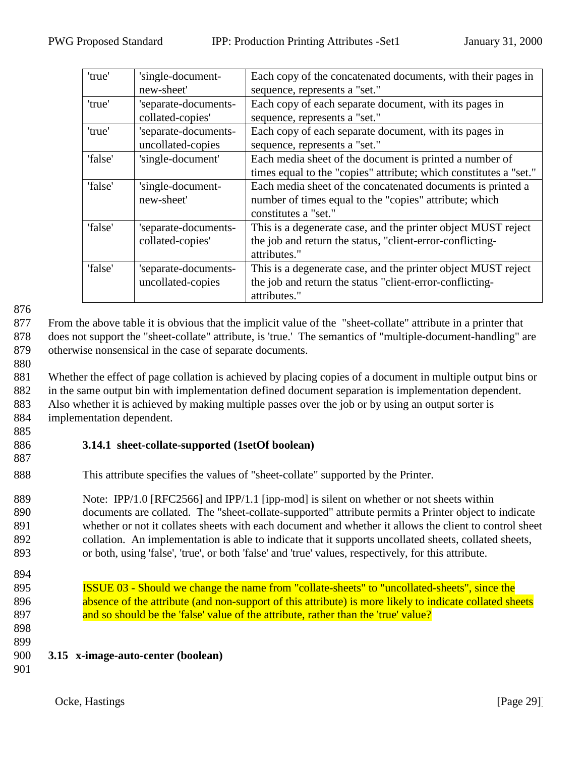<span id="page-28-0"></span>

| 'true'  | 'single-document-    | Each copy of the concatenated documents, with their pages in      |
|---------|----------------------|-------------------------------------------------------------------|
|         | new-sheet'           | sequence, represents a "set."                                     |
| 'true'  | 'separate-documents- | Each copy of each separate document, with its pages in            |
|         | collated-copies'     | sequence, represents a "set."                                     |
| 'true'  | 'separate-documents- | Each copy of each separate document, with its pages in            |
|         | uncollated-copies    | sequence, represents a "set."                                     |
| 'false' | 'single-document'    | Each media sheet of the document is printed a number of           |
|         |                      | times equal to the "copies" attribute; which constitutes a "set." |
| 'false' | 'single-document-    | Each media sheet of the concatenated documents is printed a       |
|         | new-sheet'           | number of times equal to the "copies" attribute; which            |
|         |                      | constitutes a "set."                                              |
| 'false' | 'separate-documents- | This is a degenerate case, and the printer object MUST reject     |
|         | collated-copies'     | the job and return the status, "client-error-conflicting-         |
|         |                      | attributes."                                                      |
| 'false' | 'separate-documents- | This is a degenerate case, and the printer object MUST reject     |
|         | uncollated-copies    | the job and return the status "client-error-conflicting-          |
|         |                      | attributes."                                                      |

877 From the above table it is obvious that the implicit value of the "sheet-collate" attribute in a printer that 878 does not support the "sheet-collate" attribute, is 'true.' The semantics of "multiple-document-handling" are 879 otherwise nonsensical in the case of separate documents.

880

 Whether the effect of page collation is achieved by placing copies of a document in multiple output bins or in the same output bin with implementation defined document separation is implementation dependent. Also whether it is achieved by making multiple passes over the job or by using an output sorter is implementation dependent.

885

## 886 **3.14.1 sheet-collate-supported (1setOf boolean)**

887

888 This attribute specifies the values of "sheet-collate" supported by the Printer.

889 Note: IPP/1.0 [RFC2566] and IPP/1.1 [ipp-mod] is silent on whether or not sheets within documents are collated. The "sheet-collate-supported" attribute permits a Printer object to indicate whether or not it collates sheets with each document and whether it allows the client to control sheet collation. An implementation is able to indicate that it supports uncollated sheets, collated sheets, or both, using 'false', 'true', or both 'false' and 'true' values, respectively, for this attribute.

- 894
- 895 ISSUE 03 Should we change the name from "collate-sheets" to "uncollated-sheets", since the 896 absence of the attribute (and non-support of this attribute) is more likely to indicate collated sheets 897 and so should be the 'false' value of the attribute, rather than the 'true' value?
- 898 899
- 900 **3.15 x-image-auto-center (boolean)**
- 901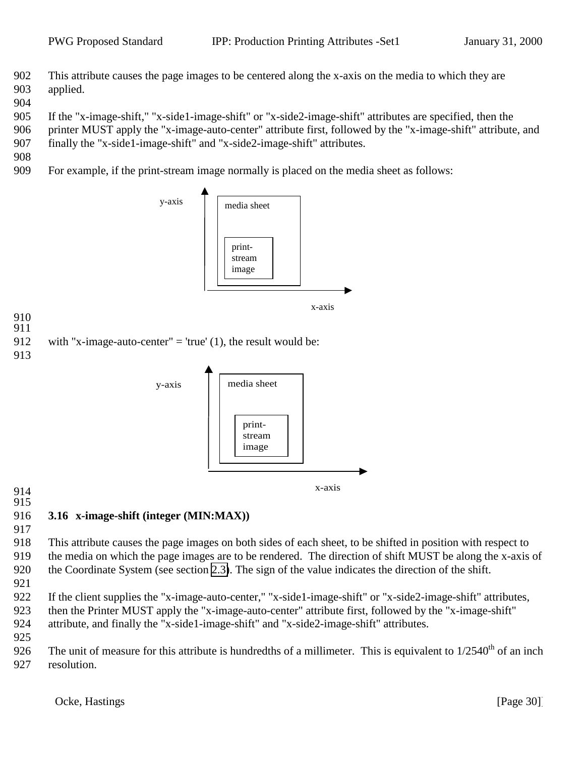- <span id="page-29-0"></span> This attribute causes the page images to be centered along the x-axis on the media to which they are applied.
- 

If the "x-image-shift," "x-side1-image-shift" or "x-side2-image-shift" attributes are specified, then the

- printer MUST apply the "x-image-auto-center" attribute first, followed by the "x-image-shift" attribute, and
- finally the "x-side1-image-shift" and "x-side2-image-shift" attributes.
- 

 

For example, if the print-stream image normally is placed on the media sheet as follows:



 

## **3.16 x-image-shift (integer (MIN:MAX))**

 This attribute causes the page images on both sides of each sheet, to be shifted in position with respect to the media on which the page images are to be rendered. The direction of shift MUST be along the x-axis of the Coordinate System (see section [2.3\)](#page-6-0). The sign of the value indicates the direction of the shift.

- 
- 922 If the client supplies the "x-image-auto-center," "x-side1-image-shift" or "x-side2-image-shift" attributes, then the Printer MUST apply the "x-image-auto-center" attribute first, followed by the "x-image-shift" attribute, and finally the "x-side1-image-shift" and "x-side2-image-shift" attributes.
- 

926 The unit of measure for this attribute is hundredths of a millimeter. This is equivalent to  $1/2540<sup>th</sup>$  of an inch resolution.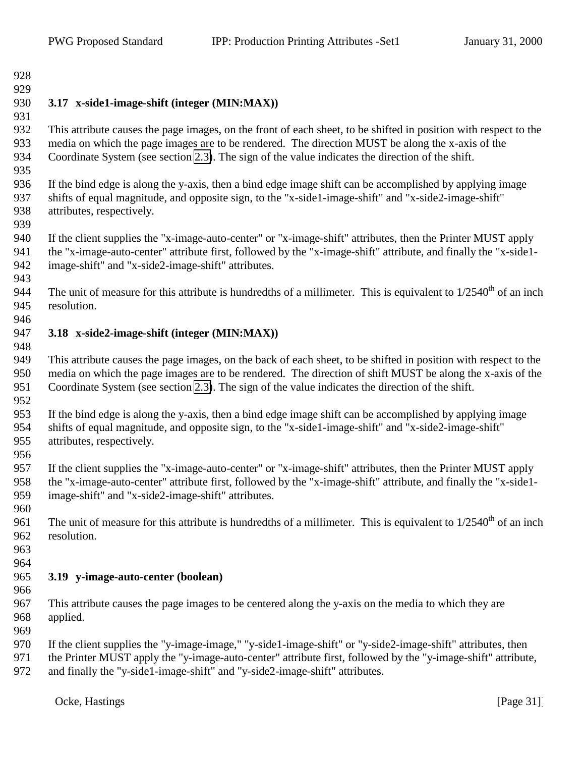# <span id="page-30-0"></span>**3.17 x-side1-image-shift (integer (MIN:MAX))**

 This attribute causes the page images, on the front of each sheet, to be shifted in position with respect to the media on which the page images are to be rendered. The direction MUST be along the x-axis of the Coordinate System (see section [2.3\)](#page-6-0). The sign of the value indicates the direction of the shift.

 If the bind edge is along the y-axis, then a bind edge image shift can be accomplished by applying image shifts of equal magnitude, and opposite sign, to the "x-side1-image-shift" and "x-side2-image-shift" attributes, respectively.

 If the client supplies the "x-image-auto-center" or "x-image-shift" attributes, then the Printer MUST apply the "x-image-auto-center" attribute first, followed by the "x-image-shift" attribute, and finally the "x-side1- image-shift" and "x-side2-image-shift" attributes.

The unit of measure for this attribute is hundredths of a millimeter. This is equivalent to  $1/2540<sup>th</sup>$  of an inch resolution.

- **3.18 x-side2-image-shift (integer (MIN:MAX))**
- 

 This attribute causes the page images, on the back of each sheet, to be shifted in position with respect to the media on which the page images are to be rendered. The direction of shift MUST be along the x-axis of the Coordinate System (see section [2.3\)](#page-6-0). The sign of the value indicates the direction of the shift.

 If the bind edge is along the y-axis, then a bind edge image shift can be accomplished by applying image shifts of equal magnitude, and opposite sign, to the "x-side1-image-shift" and "x-side2-image-shift" attributes, respectively.

 If the client supplies the "x-image-auto-center" or "x-image-shift" attributes, then the Printer MUST apply the "x-image-auto-center" attribute first, followed by the "x-image-shift" attribute, and finally the "x-side1- image-shift" and "x-side2-image-shift" attributes.

961 The unit of measure for this attribute is hundredths of a millimeter. This is equivalent to  $1/2540<sup>th</sup>$  of an inch resolution.

#### **3.19 y-image-auto-center (boolean)**

 This attribute causes the page images to be centered along the y-axis on the media to which they are applied.

- 970 If the client supplies the "y-image-image," "y-side1-image-shift" or "y-side2-image-shift" attributes, then
- the Printer MUST apply the "y-image-auto-center" attribute first, followed by the "y-image-shift" attribute,
- and finally the "y-side1-image-shift" and "y-side2-image-shift" attributes.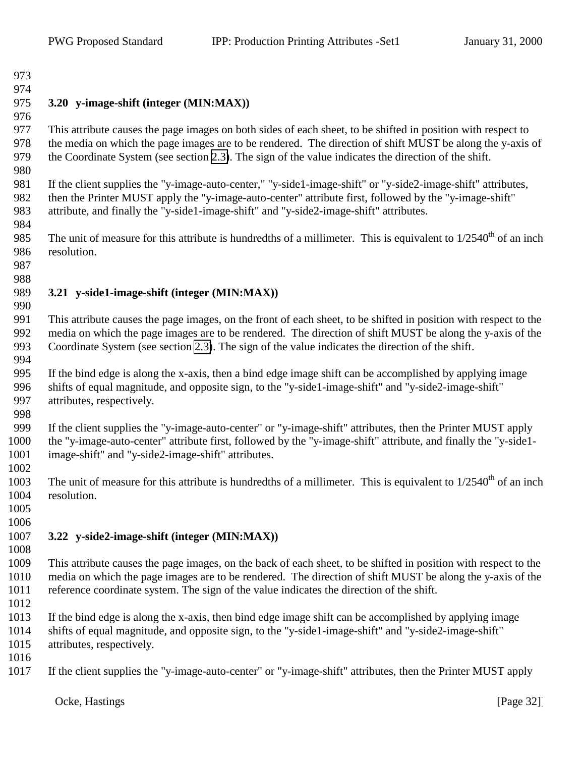#### <span id="page-31-0"></span> **3.20 y-image-shift (integer (MIN:MAX))**

 This attribute causes the page images on both sides of each sheet, to be shifted in position with respect to the media on which the page images are to be rendered. The direction of shift MUST be along the y-axis of the Coordinate System (see section [2.3\)](#page-6-0). The sign of the value indicates the direction of the shift.

981 If the client supplies the "y-image-auto-center," "y-side1-image-shift" or "y-side2-image-shift" attributes, then the Printer MUST apply the "y-image-auto-center" attribute first, followed by the "y-image-shift" attribute, and finally the "y-side1-image-shift" and "y-side2-image-shift" attributes.

985 The unit of measure for this attribute is hundredths of a millimeter. This is equivalent to  $1/2540<sup>th</sup>$  of an inch resolution.

#### **3.21 y-side1-image-shift (integer (MIN:MAX))**

 This attribute causes the page images, on the front of each sheet, to be shifted in position with respect to the media on which the page images are to be rendered. The direction of shift MUST be along the y-axis of the Coordinate System (see section [2.3\)](#page-6-0). The sign of the value indicates the direction of the shift. 

 If the bind edge is along the x-axis, then a bind edge image shift can be accomplished by applying image shifts of equal magnitude, and opposite sign, to the "y-side1-image-shift" and "y-side2-image-shift" attributes, respectively.

 If the client supplies the "y-image-auto-center" or "y-image-shift" attributes, then the Printer MUST apply the "y-image-auto-center" attribute first, followed by the "y-image-shift" attribute, and finally the "y-side1- image-shift" and "y-side2-image-shift" attributes.

1003 The unit of measure for this attribute is hundredths of a millimeter. This is equivalent to  $1/2540<sup>th</sup>$  of an inch resolution.

 

# **3.22 y-side2-image-shift (integer (MIN:MAX))**

 This attribute causes the page images, on the back of each sheet, to be shifted in position with respect to the media on which the page images are to be rendered. The direction of shift MUST be along the y-axis of the reference coordinate system. The sign of the value indicates the direction of the shift.

 If the bind edge is along the x-axis, then bind edge image shift can be accomplished by applying image shifts of equal magnitude, and opposite sign, to the "y-side1-image-shift" and "y-side2-image-shift" attributes, respectively.

If the client supplies the "y-image-auto-center" or "y-image-shift" attributes, then the Printer MUST apply

Ocke, Hastings [Page 32]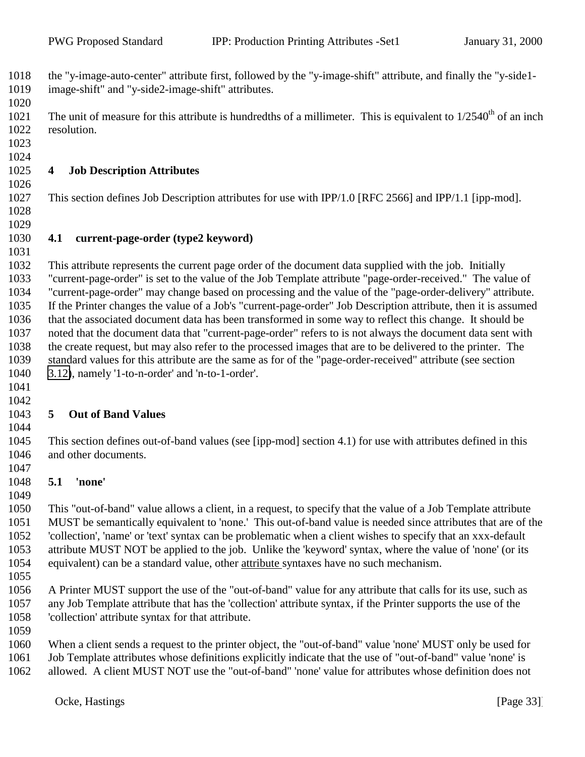<span id="page-32-0"></span> the "y-image-auto-center" attribute first, followed by the "y-image-shift" attribute, and finally the "y-side1- image-shift" and "y-side2-image-shift" attributes. 

The unit of measure for this attribute is hundredths of a millimeter. This is equivalent to  $1/2540<sup>th</sup>$  of an inch resolution.

 

#### **4 Job Description Attributes**

This section defines Job Description attributes for use with IPP/1.0 [RFC 2566] and IPP/1.1 [ipp-mod].

 

#### **4.1 current-page-order (type2 keyword)**

 This attribute represents the current page order of the document data supplied with the job. Initially "current-page-order" is set to the value of the Job Template attribute "page-order-received." The value of "current-page-order" may change based on processing and the value of the "page-order-delivery" attribute. If the Printer changes the value of a Job's "current-page-order" Job Description attribute, then it is assumed that the associated document data has been transformed in some way to reflect this change. It should be noted that the document data that "current-page-order" refers to is not always the document data sent with the create request, but may also refer to the processed images that are to be delivered to the printer. The standard values for this attribute are the same as for of the "page-order-received" attribute (see section [3.12\)](#page-25-0), namely '1-to-n-order' and 'n-to-1-order'.

 

# **5 Out of Band Values**

 This section defines out-of-band values (see [ipp-mod] section 4.1) for use with attributes defined in this and other documents.

#### **5.1 'none'**

 This "out-of-band" value allows a client, in a request, to specify that the value of a Job Template attribute MUST be semantically equivalent to 'none.' This out-of-band value is needed since attributes that are of the 'collection', 'name' or 'text' syntax can be problematic when a client wishes to specify that an xxx-default attribute MUST NOT be applied to the job. Unlike the 'keyword' syntax, where the value of 'none' (or its equivalent) can be a standard value, other attribute syntaxes have no such mechanism.

 A Printer MUST support the use of the "out-of-band" value for any attribute that calls for its use, such as any Job Template attribute that has the 'collection' attribute syntax, if the Printer supports the use of the 'collection' attribute syntax for that attribute.

When a client sends a request to the printer object, the "out-of-band" value 'none' MUST only be used for

 Job Template attributes whose definitions explicitly indicate that the use of "out-of-band" value 'none' is allowed. A client MUST NOT use the "out-of-band" 'none' value for attributes whose definition does not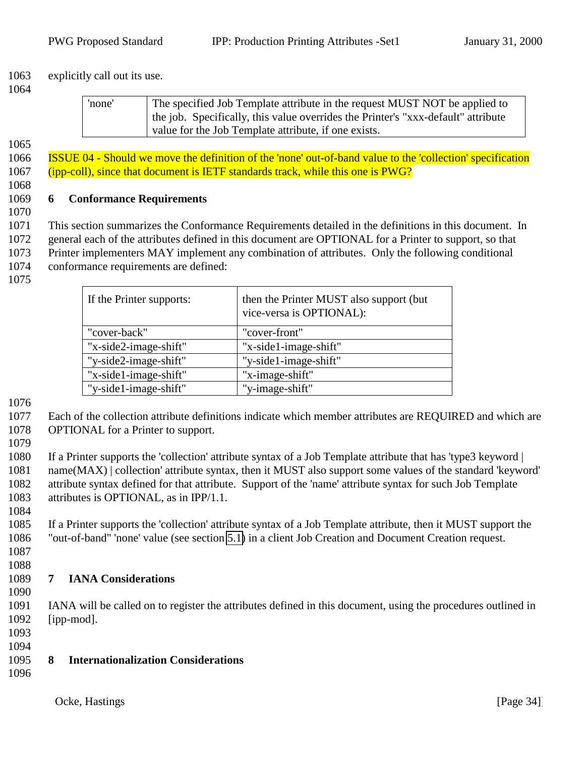<span id="page-33-0"></span>explicitly call out its use.

| 'none' | The specified Job Template attribute in the request MUST NOT be applied to<br>the job. Specifically, this value overrides the Printer's "xxx-default" attribute |  |
|--------|-----------------------------------------------------------------------------------------------------------------------------------------------------------------|--|
|        | value for the Job Template attribute, if one exists.                                                                                                            |  |

 ISSUE 04 - Should we move the definition of the 'none' out-of-band value to the 'collection' specification (ipp-coll), since that document is IETF standards track, while this one is PWG?

#### **6 Conformance Requirements**

 This section summarizes the Conformance Requirements detailed in the definitions in this document. In general each of the attributes defined in this document are OPTIONAL for a Printer to support, so that Printer implementers MAY implement any combination of attributes. Only the following conditional conformance requirements are defined:

| If the Printer supports: | then the Printer MUST also support (but<br>vice-versa is OPTIONAL): |
|--------------------------|---------------------------------------------------------------------|
| "cover-back"             | "cover-front"                                                       |
| "x-side2-image-shift"    | "x-side1-image-shift"                                               |
| "y-side2-image-shift"    | "y-side1-image-shift"                                               |
| "x-side1-image-shift"    | "x-image-shift"                                                     |
| "y-side1-image-shift"    | "y-image-shift"                                                     |

 Each of the collection attribute definitions indicate which member attributes are REQUIRED and which are OPTIONAL for a Printer to support.

 If a Printer supports the 'collection' attribute syntax of a Job Template attribute that has 'type3 keyword | name(MAX) | collection' attribute syntax, then it MUST also support some values of the standard 'keyword' attribute syntax defined for that attribute. Support of the 'name' attribute syntax for such Job Template attributes is OPTIONAL, as in IPP/1.1.

 If a Printer supports the 'collection' attribute syntax of a Job Template attribute, then it MUST support the "out-of-band" 'none' value (see section [5.1\)](#page-32-0) in a client Job Creation and Document Creation request.

## **7 IANA Considerations**

 IANA will be called on to register the attributes defined in this document, using the procedures outlined in [ipp-mod].

- 
- **8 Internationalization Considerations**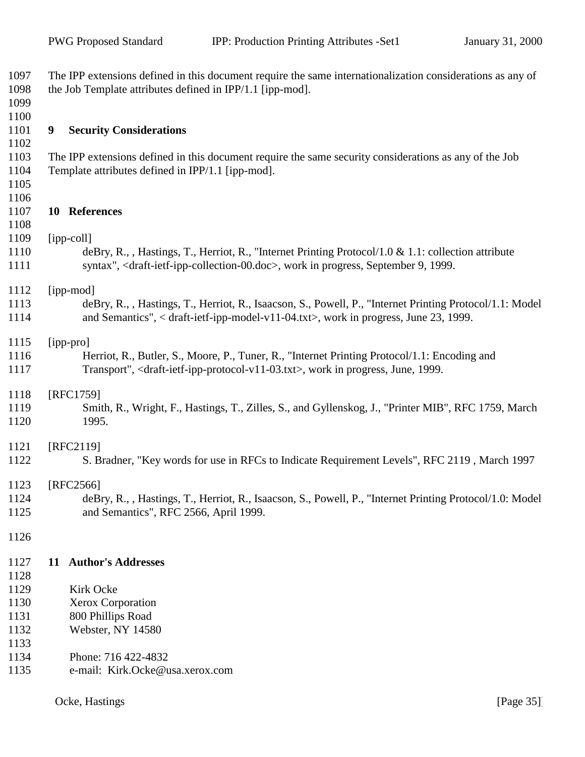<span id="page-34-0"></span>

| 1097<br>1098 | The IPP extensions defined in this document require the same internationalization considerations as any of<br>the Job Template attributes defined in IPP/1.1 [ipp-mod].                                                     |
|--------------|-----------------------------------------------------------------------------------------------------------------------------------------------------------------------------------------------------------------------------|
| 1099         |                                                                                                                                                                                                                             |
| 1100<br>1101 | 9<br><b>Security Considerations</b>                                                                                                                                                                                         |
| 1102         |                                                                                                                                                                                                                             |
| 1103         | The IPP extensions defined in this document require the same security considerations as any of the Job                                                                                                                      |
| 1104         | Template attributes defined in IPP/1.1 [ipp-mod].                                                                                                                                                                           |
| 1105<br>1106 |                                                                                                                                                                                                                             |
| 1107         | 10 References                                                                                                                                                                                                               |
| 1108         |                                                                                                                                                                                                                             |
| 1109         | [ipp-coll]                                                                                                                                                                                                                  |
| 1110<br>1111 | deBry, R., , Hastings, T., Herriot, R., "Internet Printing Protocol/1.0 & 1.1: collection attribute<br>syntax", <draft-ietf-ipp-collection-00.doc>, work in progress, September 9, 1999.</draft-ietf-ipp-collection-00.doc> |
| 1112         | [ipp-mod]                                                                                                                                                                                                                   |
| 1113         | deBry, R., , Hastings, T., Herriot, R., Isaacson, S., Powell, P., "Internet Printing Protocol/1.1: Model                                                                                                                    |
| 1114         | and Semantics", < draft-ietf-ipp-model-v11-04.txt>, work in progress, June 23, 1999.                                                                                                                                        |
| 1115         | [ipp-pro]                                                                                                                                                                                                                   |
| 1116         | Herriot, R., Butler, S., Moore, P., Tuner, R., "Internet Printing Protocol/1.1: Encoding and                                                                                                                                |
| 1117         | Transport", <draft-ietf-ipp-protocol-v11-03.txt>, work in progress, June, 1999.</draft-ietf-ipp-protocol-v11-03.txt>                                                                                                        |
| 1118         | [RFC1759]                                                                                                                                                                                                                   |
| 1119         | Smith, R., Wright, F., Hastings, T., Zilles, S., and Gyllenskog, J., "Printer MIB", RFC 1759, March                                                                                                                         |
| 1120         | 1995.                                                                                                                                                                                                                       |
| 1121         | [RFC2119]                                                                                                                                                                                                                   |
| 1122         | S. Bradner, "Key words for use in RFCs to Indicate Requirement Levels", RFC 2119, March 1997                                                                                                                                |
| 1123         | [RFC2566]                                                                                                                                                                                                                   |
| 1124         | deBry, R., , Hastings, T., Herriot, R., Isaacson, S., Powell, P., "Internet Printing Protocol/1.0: Model                                                                                                                    |
| 1125         | and Semantics", RFC 2566, April 1999.                                                                                                                                                                                       |
| 1126         |                                                                                                                                                                                                                             |
| 1127         | 11 Author's Addresses                                                                                                                                                                                                       |
| 1128         |                                                                                                                                                                                                                             |
| 1129         | Kirk Ocke                                                                                                                                                                                                                   |
| 1130<br>1131 | <b>Xerox Corporation</b><br>800 Phillips Road                                                                                                                                                                               |
| 1132         | Webster, NY 14580                                                                                                                                                                                                           |
| 1133         |                                                                                                                                                                                                                             |
| 1134         | Phone: 716 422-4832                                                                                                                                                                                                         |
| 1135         | e-mail: Kirk.Ocke@usa.xerox.com                                                                                                                                                                                             |
|              |                                                                                                                                                                                                                             |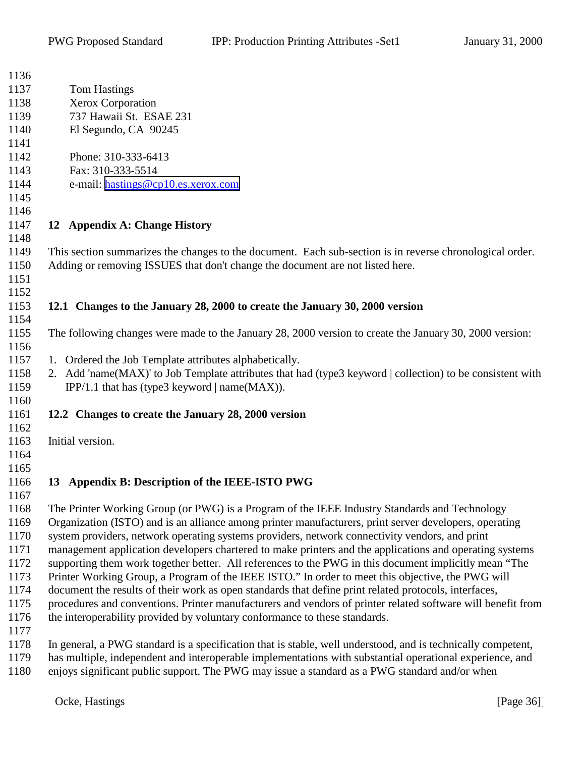<span id="page-35-0"></span>

| 1136 |                                                                                                              |
|------|--------------------------------------------------------------------------------------------------------------|
| 1137 | <b>Tom Hastings</b>                                                                                          |
| 1138 | Xerox Corporation                                                                                            |
| 1139 | 737 Hawaii St. ESAE 231                                                                                      |
| 1140 | El Segundo, CA 90245                                                                                         |
| 1141 |                                                                                                              |
| 1142 | Phone: 310-333-6413                                                                                          |
| 1143 | Fax: 310-333-5514                                                                                            |
| 1144 | e-mail: hastings@cp10.es.xerox.com                                                                           |
| 1145 |                                                                                                              |
| 1146 |                                                                                                              |
| 1147 | 12 Appendix A: Change History                                                                                |
| 1148 |                                                                                                              |
| 1149 | This section summarizes the changes to the document. Each sub-section is in reverse chronological order.     |
| 1150 | Adding or removing ISSUES that don't change the document are not listed here.                                |
| 1151 |                                                                                                              |
| 1152 |                                                                                                              |
| 1153 | 12.1 Changes to the January 28, 2000 to create the January 30, 2000 version                                  |
| 1154 |                                                                                                              |
| 1155 | The following changes were made to the January 28, 2000 version to create the January 30, 2000 version:      |
| 1156 |                                                                                                              |
| 1157 | 1. Ordered the Job Template attributes alphabetically.                                                       |
| 1158 | 2. Add 'name(MAX)' to Job Template attributes that had (type3 keyword   collection) to be consistent with    |
| 1159 | IPP/1.1 that has (type3 keyword $ name(MAX) $ .                                                              |
| 1160 |                                                                                                              |
| 1161 | 12.2 Changes to create the January 28, 2000 version                                                          |
| 1162 |                                                                                                              |
| 1163 | Initial version.                                                                                             |
| 1164 |                                                                                                              |
| 1165 |                                                                                                              |
| 1166 | 13 Appendix B: Description of the IEEE-ISTO PWG                                                              |
| 1167 |                                                                                                              |
| 1168 | The Printer Working Group (or PWG) is a Program of the IEEE Industry Standards and Technology                |
| 1169 | Organization (ISTO) and is an alliance among printer manufacturers, print server developers, operating       |
| 1170 | system providers, network operating systems providers, network connectivity vendors, and print               |
| 1171 | management application developers chartered to make printers and the applications and operating systems      |
| 1172 | supporting them work together better. All references to the PWG in this document implicitly mean "The        |
| 1173 | Printer Working Group, a Program of the IEEE ISTO." In order to meet this objective, the PWG will            |
| 1174 | document the results of their work as open standards that define print related protocols, interfaces,        |
| 1175 | procedures and conventions. Printer manufacturers and vendors of printer related software will benefit from  |
| 1176 | the interoperability provided by voluntary conformance to these standards.                                   |
| 1177 |                                                                                                              |
| 1178 | In general, a PWG standard is a specification that is stable, well understood, and is technically competent, |
| 1179 | has multiple, independent and interoperable implementations with substantial operational experience, and     |
| 1180 | enjoys significant public support. The PWG may issue a standard as a PWG standard and/or when                |
|      |                                                                                                              |